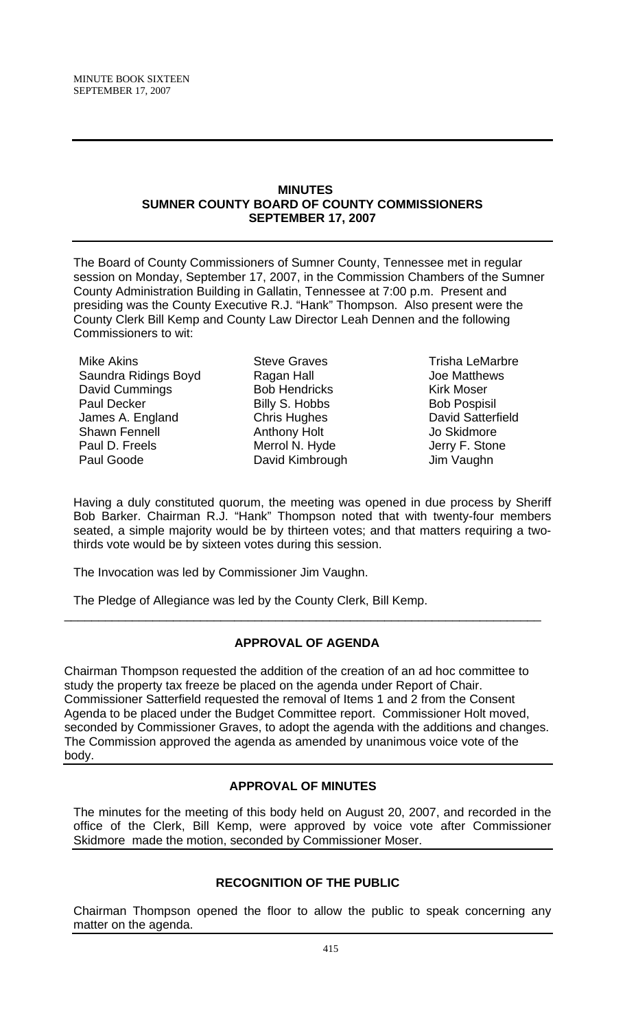## **MINUTES SUMNER COUNTY BOARD OF COUNTY COMMISSIONERS SEPTEMBER 17, 2007**

The Board of County Commissioners of Sumner County, Tennessee met in regular session on Monday, September 17, 2007, in the Commission Chambers of the Sumner County Administration Building in Gallatin, Tennessee at 7:00 p.m. Present and presiding was the County Executive R.J. "Hank" Thompson. Also present were the County Clerk Bill Kemp and County Law Director Leah Dennen and the following Commissioners to wit:

Mike Akins Saundra Ridings Boyd David Cummings Paul Decker James A. England Shawn Fennell Paul D. Freels Paul Goode

Steve Graves Ragan Hall Bob Hendricks Billy S. Hobbs Chris Hughes Anthony Holt Merrol N. Hyde David Kimbrough

Trisha LeMarbre Joe Matthews Kirk Moser Bob Pospisil David Satterfield Jo Skidmore Jerry F. Stone Jim Vaughn

Having a duly constituted quorum, the meeting was opened in due process by Sheriff Bob Barker. Chairman R.J. "Hank" Thompson noted that with twenty-four members seated, a simple majority would be by thirteen votes; and that matters requiring a twothirds vote would be by sixteen votes during this session.

The Invocation was led by Commissioner Jim Vaughn.

The Pledge of Allegiance was led by the County Clerk, Bill Kemp.

# **APPROVAL OF AGENDA**

\_\_\_\_\_\_\_\_\_\_\_\_\_\_\_\_\_\_\_\_\_\_\_\_\_\_\_\_\_\_\_\_\_\_\_\_\_\_\_\_\_\_\_\_\_\_\_\_\_\_\_\_\_\_\_\_\_\_\_\_\_\_\_\_\_\_\_\_\_\_

Chairman Thompson requested the addition of the creation of an ad hoc committee to study the property tax freeze be placed on the agenda under Report of Chair. Commissioner Satterfield requested the removal of Items 1 and 2 from the Consent Agenda to be placed under the Budget Committee report. Commissioner Holt moved, seconded by Commissioner Graves, to adopt the agenda with the additions and changes. The Commission approved the agenda as amended by unanimous voice vote of the body.

# **APPROVAL OF MINUTES**

The minutes for the meeting of this body held on August 20, 2007, and recorded in the office of the Clerk, Bill Kemp, were approved by voice vote after Commissioner Skidmore made the motion, seconded by Commissioner Moser.

# **RECOGNITION OF THE PUBLIC**

Chairman Thompson opened the floor to allow the public to speak concerning any matter on the agenda.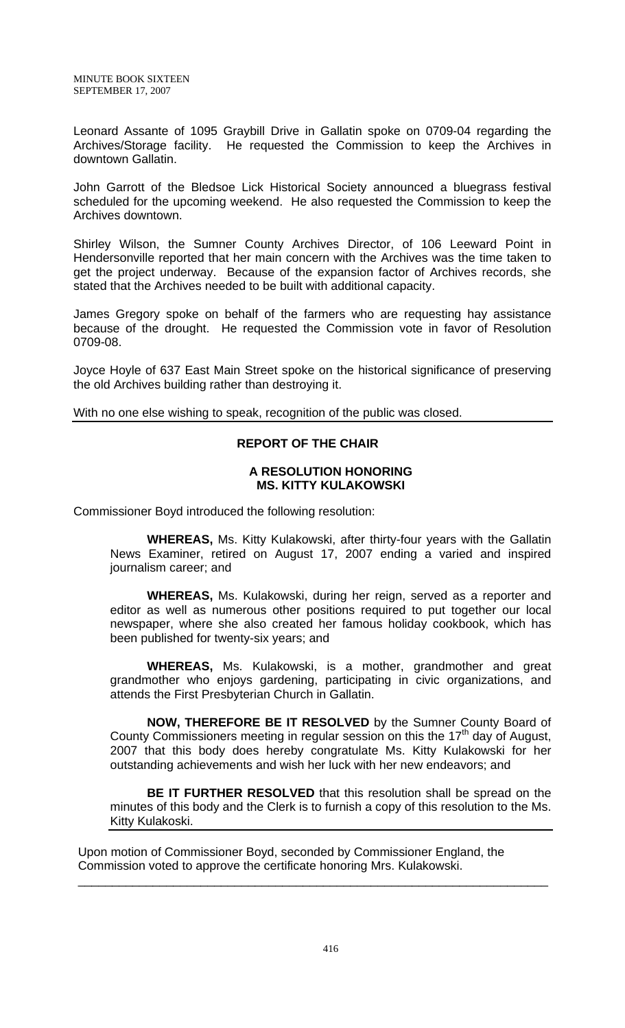Leonard Assante of 1095 Graybill Drive in Gallatin spoke on 0709-04 regarding the Archives/Storage facility. He requested the Commission to keep the Archives in downtown Gallatin.

John Garrott of the Bledsoe Lick Historical Society announced a bluegrass festival scheduled for the upcoming weekend. He also requested the Commission to keep the Archives downtown.

Shirley Wilson, the Sumner County Archives Director, of 106 Leeward Point in Hendersonville reported that her main concern with the Archives was the time taken to get the project underway. Because of the expansion factor of Archives records, she stated that the Archives needed to be built with additional capacity.

James Gregory spoke on behalf of the farmers who are requesting hay assistance because of the drought. He requested the Commission vote in favor of Resolution 0709-08.

Joyce Hoyle of 637 East Main Street spoke on the historical significance of preserving the old Archives building rather than destroying it.

With no one else wishing to speak, recognition of the public was closed.

## **REPORT OF THE CHAIR**

### **A RESOLUTION HONORING MS. KITTY KULAKOWSKI**

Commissioner Boyd introduced the following resolution:

**WHEREAS,** Ms. Kitty Kulakowski, after thirty-four years with the Gallatin News Examiner, retired on August 17, 2007 ending a varied and inspired journalism career; and

 **WHEREAS,** Ms. Kulakowski, during her reign, served as a reporter and editor as well as numerous other positions required to put together our local newspaper, where she also created her famous holiday cookbook, which has been published for twenty-six years; and

**WHEREAS,** Ms. Kulakowski, is a mother, grandmother and great grandmother who enjoys gardening, participating in civic organizations, and attends the First Presbyterian Church in Gallatin.

 **NOW, THEREFORE BE IT RESOLVED** by the Sumner County Board of County Commissioners meeting in regular session on this the  $17<sup>th</sup>$  day of August, 2007 that this body does hereby congratulate Ms. Kitty Kulakowski for her outstanding achievements and wish her luck with her new endeavors; and

**BE IT FURTHER RESOLVED** that this resolution shall be spread on the minutes of this body and the Clerk is to furnish a copy of this resolution to the Ms. Kitty Kulakoski.

Upon motion of Commissioner Boyd, seconded by Commissioner England, the Commission voted to approve the certificate honoring Mrs. Kulakowski.

\_\_\_\_\_\_\_\_\_\_\_\_\_\_\_\_\_\_\_\_\_\_\_\_\_\_\_\_\_\_\_\_\_\_\_\_\_\_\_\_\_\_\_\_\_\_\_\_\_\_\_\_\_\_\_\_\_\_\_\_\_\_\_\_\_\_\_\_\_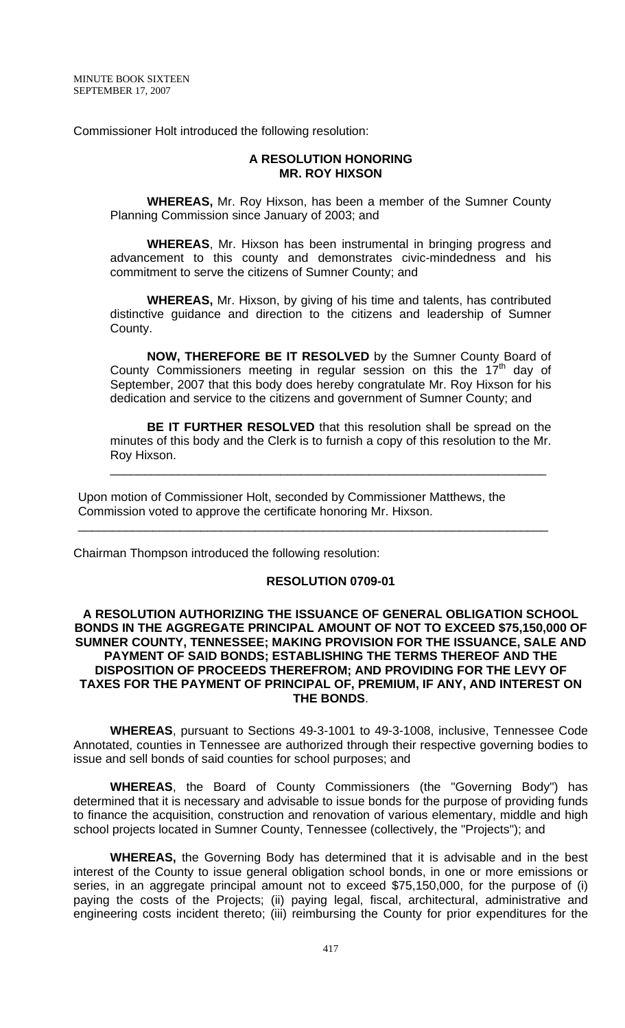Commissioner Holt introduced the following resolution:

### **A RESOLUTION HONORING MR. ROY HIXSON**

**WHEREAS,** Mr. Roy Hixson, has been a member of the Sumner County Planning Commission since January of 2003; and

**WHEREAS**, Mr. Hixson has been instrumental in bringing progress and advancement to this county and demonstrates civic-mindedness and his commitment to serve the citizens of Sumner County; and

**WHEREAS,** Mr. Hixson, by giving of his time and talents, has contributed distinctive guidance and direction to the citizens and leadership of Sumner County.

 **NOW, THEREFORE BE IT RESOLVED** by the Sumner County Board of County Commissioners meeting in regular session on this the  $17<sup>th</sup>$  day of September, 2007 that this body does hereby congratulate Mr. Roy Hixson for his dedication and service to the citizens and government of Sumner County; and

**BE IT FURTHER RESOLVED** that this resolution shall be spread on the minutes of this body and the Clerk is to furnish a copy of this resolution to the Mr. Roy Hixson.

\_\_\_\_\_\_\_\_\_\_\_\_\_\_\_\_\_\_\_\_\_\_\_\_\_\_\_\_\_\_\_\_\_\_\_\_\_\_\_\_\_\_\_\_\_\_\_\_\_\_\_\_\_\_\_\_\_\_\_\_\_\_\_\_

Upon motion of Commissioner Holt, seconded by Commissioner Matthews, the Commission voted to approve the certificate honoring Mr. Hixson.

Chairman Thompson introduced the following resolution:

#### **RESOLUTION 0709-01**

\_\_\_\_\_\_\_\_\_\_\_\_\_\_\_\_\_\_\_\_\_\_\_\_\_\_\_\_\_\_\_\_\_\_\_\_\_\_\_\_\_\_\_\_\_\_\_\_\_\_\_\_\_\_\_\_\_\_\_\_\_\_\_\_\_\_\_\_\_

## **A RESOLUTION AUTHORIZING THE ISSUANCE OF GENERAL OBLIGATION SCHOOL BONDS IN THE AGGREGATE PRINCIPAL AMOUNT OF NOT TO EXCEED \$75,150,000 OF SUMNER COUNTY, TENNESSEE; MAKING PROVISION FOR THE ISSUANCE, SALE AND PAYMENT OF SAID BONDS; ESTABLISHING THE TERMS THEREOF AND THE DISPOSITION OF PROCEEDS THEREFROM; AND PROVIDING FOR THE LEVY OF TAXES FOR THE PAYMENT OF PRINCIPAL OF, PREMIUM, IF ANY, AND INTEREST ON THE BONDS**.

**WHEREAS**, pursuant to Sections 49-3-1001 to 49-3-1008, inclusive, Tennessee Code Annotated, counties in Tennessee are authorized through their respective governing bodies to issue and sell bonds of said counties for school purposes; and

**WHEREAS**, the Board of County Commissioners (the "Governing Body") has determined that it is necessary and advisable to issue bonds for the purpose of providing funds to finance the acquisition, construction and renovation of various elementary, middle and high school projects located in Sumner County, Tennessee (collectively, the "Projects"); and

**WHEREAS,** the Governing Body has determined that it is advisable and in the best interest of the County to issue general obligation school bonds, in one or more emissions or series, in an aggregate principal amount not to exceed \$75,150,000, for the purpose of (i) paying the costs of the Projects; (ii) paying legal, fiscal, architectural, administrative and engineering costs incident thereto; (iii) reimbursing the County for prior expenditures for the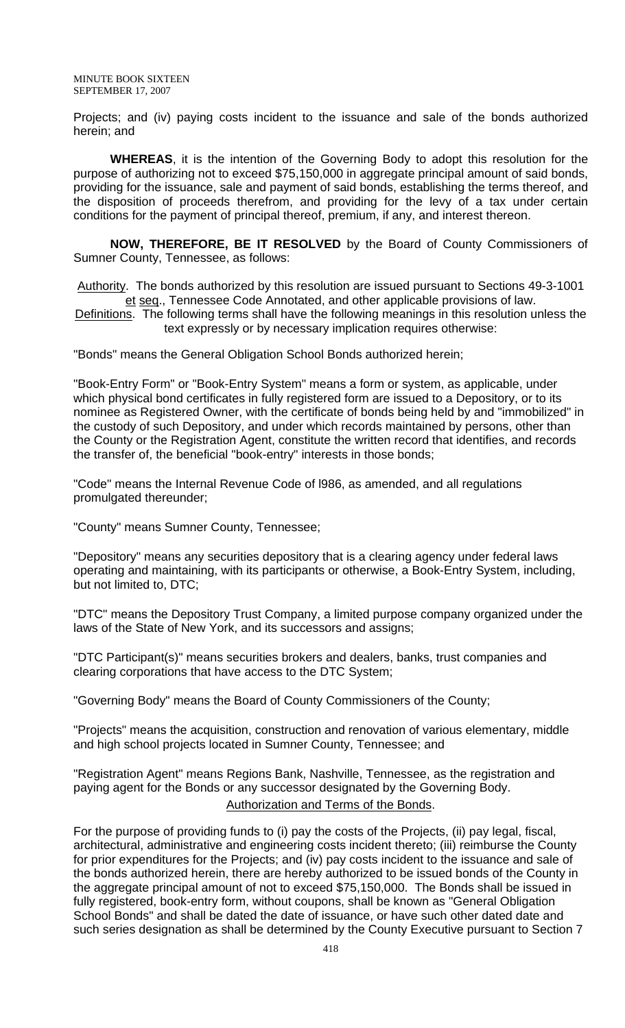Projects; and (iv) paying costs incident to the issuance and sale of the bonds authorized herein; and

**WHEREAS**, it is the intention of the Governing Body to adopt this resolution for the purpose of authorizing not to exceed \$75,150,000 in aggregate principal amount of said bonds, providing for the issuance, sale and payment of said bonds, establishing the terms thereof, and the disposition of proceeds therefrom, and providing for the levy of a tax under certain conditions for the payment of principal thereof, premium, if any, and interest thereon.

**NOW, THEREFORE, BE IT RESOLVED** by the Board of County Commissioners of Sumner County, Tennessee, as follows:

Authority. The bonds authorized by this resolution are issued pursuant to Sections 49-3-1001 et seq., Tennessee Code Annotated, and other applicable provisions of law.

Definitions. The following terms shall have the following meanings in this resolution unless the text expressly or by necessary implication requires otherwise:

"Bonds" means the General Obligation School Bonds authorized herein;

"Book-Entry Form" or "Book-Entry System" means a form or system, as applicable, under which physical bond certificates in fully registered form are issued to a Depository, or to its nominee as Registered Owner, with the certificate of bonds being held by and "immobilized" in the custody of such Depository, and under which records maintained by persons, other than the County or the Registration Agent, constitute the written record that identifies, and records the transfer of, the beneficial "book-entry" interests in those bonds;

"Code" means the Internal Revenue Code of l986, as amended, and all regulations promulgated thereunder;

"County" means Sumner County, Tennessee;

"Depository" means any securities depository that is a clearing agency under federal laws operating and maintaining, with its participants or otherwise, a Book-Entry System, including, but not limited to, DTC;

"DTC" means the Depository Trust Company, a limited purpose company organized under the laws of the State of New York, and its successors and assigns;

"DTC Participant(s)" means securities brokers and dealers, banks, trust companies and clearing corporations that have access to the DTC System;

"Governing Body" means the Board of County Commissioners of the County;

"Projects" means the acquisition, construction and renovation of various elementary, middle and high school projects located in Sumner County, Tennessee; and

"Registration Agent" means Regions Bank, Nashville, Tennessee, as the registration and paying agent for the Bonds or any successor designated by the Governing Body. Authorization and Terms of the Bonds.

For the purpose of providing funds to (i) pay the costs of the Projects, (ii) pay legal, fiscal, architectural, administrative and engineering costs incident thereto; (iii) reimburse the County for prior expenditures for the Projects; and (iv) pay costs incident to the issuance and sale of the bonds authorized herein, there are hereby authorized to be issued bonds of the County in the aggregate principal amount of not to exceed \$75,150,000. The Bonds shall be issued in fully registered, book-entry form, without coupons, shall be known as "General Obligation School Bonds" and shall be dated the date of issuance, or have such other dated date and such series designation as shall be determined by the County Executive pursuant to Section 7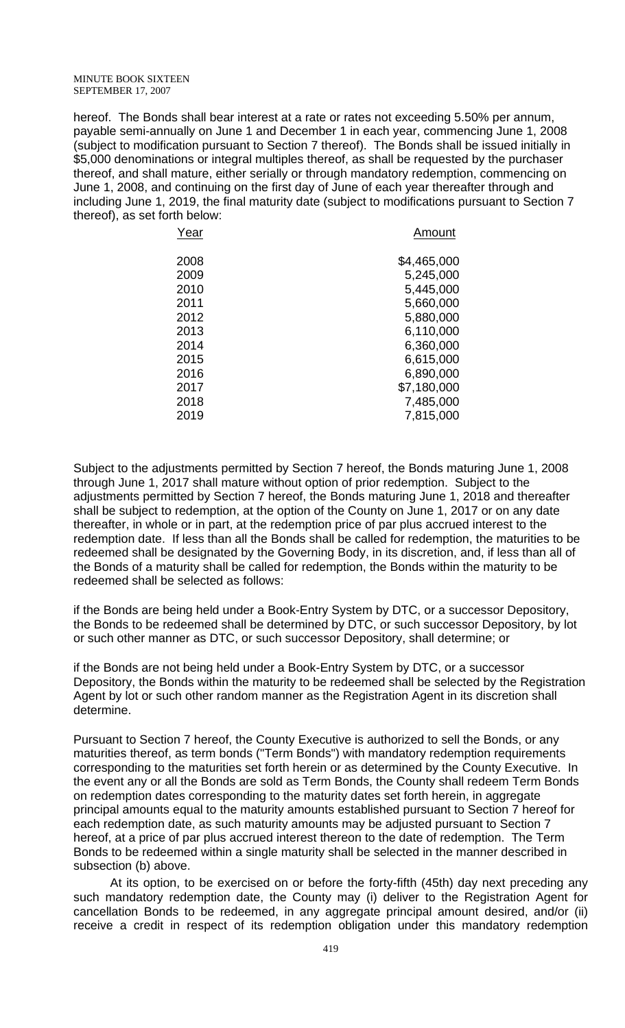hereof. The Bonds shall bear interest at a rate or rates not exceeding 5.50% per annum, payable semi-annually on June 1 and December 1 in each year, commencing June 1, 2008 (subject to modification pursuant to Section 7 thereof). The Bonds shall be issued initially in \$5,000 denominations or integral multiples thereof, as shall be requested by the purchaser thereof, and shall mature, either serially or through mandatory redemption, commencing on June 1, 2008, and continuing on the first day of June of each year thereafter through and including June 1, 2019, the final maturity date (subject to modifications pursuant to Section 7 thereof), as set forth below:

| Year | Amount      |
|------|-------------|
| 2008 | \$4,465,000 |
| 2009 | 5,245,000   |
| 2010 | 5,445,000   |
| 2011 | 5,660,000   |
| 2012 | 5,880,000   |
| 2013 | 6,110,000   |
| 2014 | 6,360,000   |
| 2015 | 6,615,000   |
| 2016 | 6,890,000   |
| 2017 | \$7,180,000 |
| 2018 | 7,485,000   |
| 2019 | 7,815,000   |

Subject to the adjustments permitted by Section 7 hereof, the Bonds maturing June 1, 2008 through June 1, 2017 shall mature without option of prior redemption. Subject to the adjustments permitted by Section 7 hereof, the Bonds maturing June 1, 2018 and thereafter shall be subject to redemption, at the option of the County on June 1, 2017 or on any date thereafter, in whole or in part, at the redemption price of par plus accrued interest to the redemption date. If less than all the Bonds shall be called for redemption, the maturities to be redeemed shall be designated by the Governing Body, in its discretion, and, if less than all of the Bonds of a maturity shall be called for redemption, the Bonds within the maturity to be redeemed shall be selected as follows:

if the Bonds are being held under a Book-Entry System by DTC, or a successor Depository, the Bonds to be redeemed shall be determined by DTC, or such successor Depository, by lot or such other manner as DTC, or such successor Depository, shall determine; or

if the Bonds are not being held under a Book-Entry System by DTC, or a successor Depository, the Bonds within the maturity to be redeemed shall be selected by the Registration Agent by lot or such other random manner as the Registration Agent in its discretion shall determine.

Pursuant to Section 7 hereof, the County Executive is authorized to sell the Bonds, or any maturities thereof, as term bonds ("Term Bonds") with mandatory redemption requirements corresponding to the maturities set forth herein or as determined by the County Executive. In the event any or all the Bonds are sold as Term Bonds, the County shall redeem Term Bonds on redemption dates corresponding to the maturity dates set forth herein, in aggregate principal amounts equal to the maturity amounts established pursuant to Section 7 hereof for each redemption date, as such maturity amounts may be adjusted pursuant to Section 7 hereof, at a price of par plus accrued interest thereon to the date of redemption. The Term Bonds to be redeemed within a single maturity shall be selected in the manner described in subsection (b) above.

At its option, to be exercised on or before the forty-fifth (45th) day next preceding any such mandatory redemption date, the County may (i) deliver to the Registration Agent for cancellation Bonds to be redeemed, in any aggregate principal amount desired, and/or (ii) receive a credit in respect of its redemption obligation under this mandatory redemption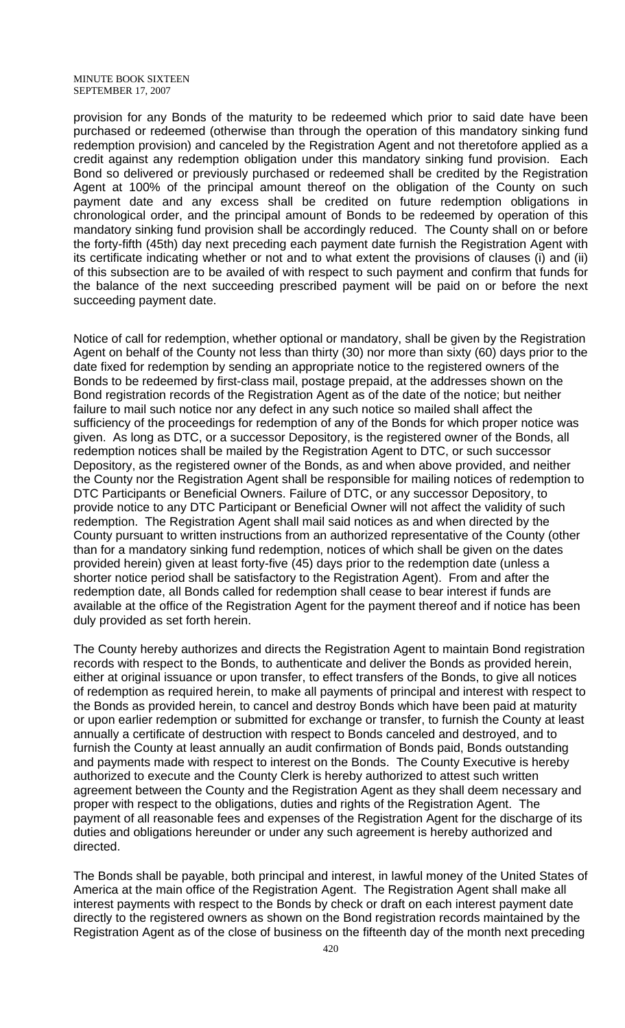provision for any Bonds of the maturity to be redeemed which prior to said date have been purchased or redeemed (otherwise than through the operation of this mandatory sinking fund redemption provision) and canceled by the Registration Agent and not theretofore applied as a credit against any redemption obligation under this mandatory sinking fund provision. Each Bond so delivered or previously purchased or redeemed shall be credited by the Registration Agent at 100% of the principal amount thereof on the obligation of the County on such payment date and any excess shall be credited on future redemption obligations in chronological order, and the principal amount of Bonds to be redeemed by operation of this mandatory sinking fund provision shall be accordingly reduced. The County shall on or before the forty-fifth (45th) day next preceding each payment date furnish the Registration Agent with its certificate indicating whether or not and to what extent the provisions of clauses (i) and (ii) of this subsection are to be availed of with respect to such payment and confirm that funds for the balance of the next succeeding prescribed payment will be paid on or before the next succeeding payment date.

Notice of call for redemption, whether optional or mandatory, shall be given by the Registration Agent on behalf of the County not less than thirty (30) nor more than sixty (60) days prior to the date fixed for redemption by sending an appropriate notice to the registered owners of the Bonds to be redeemed by first-class mail, postage prepaid, at the addresses shown on the Bond registration records of the Registration Agent as of the date of the notice; but neither failure to mail such notice nor any defect in any such notice so mailed shall affect the sufficiency of the proceedings for redemption of any of the Bonds for which proper notice was given. As long as DTC, or a successor Depository, is the registered owner of the Bonds, all redemption notices shall be mailed by the Registration Agent to DTC, or such successor Depository, as the registered owner of the Bonds, as and when above provided, and neither the County nor the Registration Agent shall be responsible for mailing notices of redemption to DTC Participants or Beneficial Owners. Failure of DTC, or any successor Depository, to provide notice to any DTC Participant or Beneficial Owner will not affect the validity of such redemption. The Registration Agent shall mail said notices as and when directed by the County pursuant to written instructions from an authorized representative of the County (other than for a mandatory sinking fund redemption, notices of which shall be given on the dates provided herein) given at least forty-five (45) days prior to the redemption date (unless a shorter notice period shall be satisfactory to the Registration Agent). From and after the redemption date, all Bonds called for redemption shall cease to bear interest if funds are available at the office of the Registration Agent for the payment thereof and if notice has been duly provided as set forth herein.

The County hereby authorizes and directs the Registration Agent to maintain Bond registration records with respect to the Bonds, to authenticate and deliver the Bonds as provided herein, either at original issuance or upon transfer, to effect transfers of the Bonds, to give all notices of redemption as required herein, to make all payments of principal and interest with respect to the Bonds as provided herein, to cancel and destroy Bonds which have been paid at maturity or upon earlier redemption or submitted for exchange or transfer, to furnish the County at least annually a certificate of destruction with respect to Bonds canceled and destroyed, and to furnish the County at least annually an audit confirmation of Bonds paid, Bonds outstanding and payments made with respect to interest on the Bonds. The County Executive is hereby authorized to execute and the County Clerk is hereby authorized to attest such written agreement between the County and the Registration Agent as they shall deem necessary and proper with respect to the obligations, duties and rights of the Registration Agent. The payment of all reasonable fees and expenses of the Registration Agent for the discharge of its duties and obligations hereunder or under any such agreement is hereby authorized and directed.

The Bonds shall be payable, both principal and interest, in lawful money of the United States of America at the main office of the Registration Agent. The Registration Agent shall make all interest payments with respect to the Bonds by check or draft on each interest payment date directly to the registered owners as shown on the Bond registration records maintained by the Registration Agent as of the close of business on the fifteenth day of the month next preceding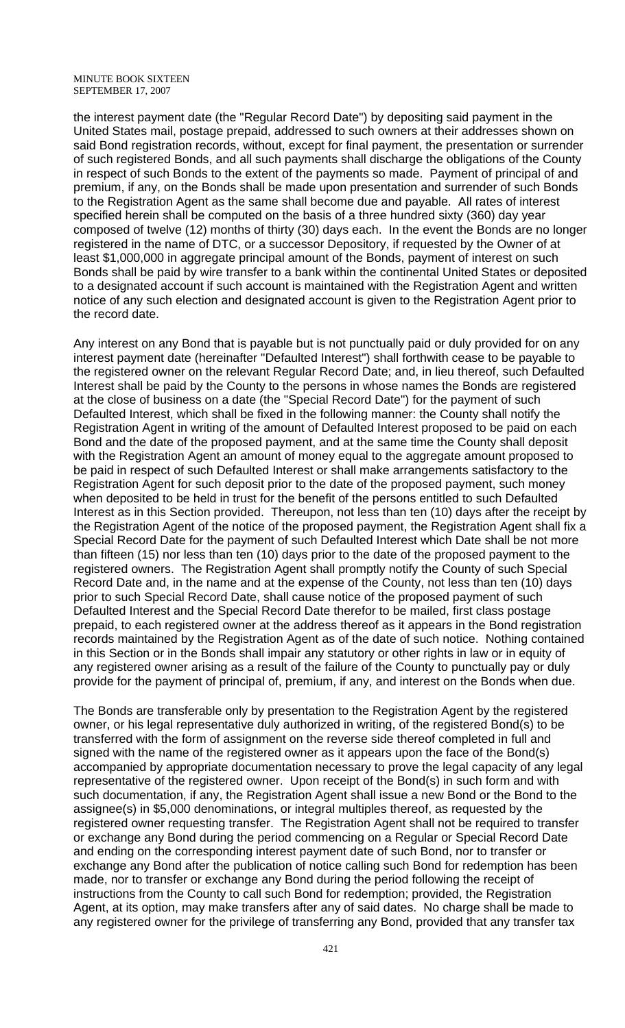the interest payment date (the "Regular Record Date") by depositing said payment in the United States mail, postage prepaid, addressed to such owners at their addresses shown on said Bond registration records, without, except for final payment, the presentation or surrender of such registered Bonds, and all such payments shall discharge the obligations of the County in respect of such Bonds to the extent of the payments so made. Payment of principal of and premium, if any, on the Bonds shall be made upon presentation and surrender of such Bonds to the Registration Agent as the same shall become due and payable. All rates of interest specified herein shall be computed on the basis of a three hundred sixty (360) day year composed of twelve (12) months of thirty (30) days each. In the event the Bonds are no longer registered in the name of DTC, or a successor Depository, if requested by the Owner of at least \$1,000,000 in aggregate principal amount of the Bonds, payment of interest on such Bonds shall be paid by wire transfer to a bank within the continental United States or deposited to a designated account if such account is maintained with the Registration Agent and written notice of any such election and designated account is given to the Registration Agent prior to the record date.

Any interest on any Bond that is payable but is not punctually paid or duly provided for on any interest payment date (hereinafter "Defaulted Interest") shall forthwith cease to be payable to the registered owner on the relevant Regular Record Date; and, in lieu thereof, such Defaulted Interest shall be paid by the County to the persons in whose names the Bonds are registered at the close of business on a date (the "Special Record Date") for the payment of such Defaulted Interest, which shall be fixed in the following manner: the County shall notify the Registration Agent in writing of the amount of Defaulted Interest proposed to be paid on each Bond and the date of the proposed payment, and at the same time the County shall deposit with the Registration Agent an amount of money equal to the aggregate amount proposed to be paid in respect of such Defaulted Interest or shall make arrangements satisfactory to the Registration Agent for such deposit prior to the date of the proposed payment, such money when deposited to be held in trust for the benefit of the persons entitled to such Defaulted Interest as in this Section provided. Thereupon, not less than ten (10) days after the receipt by the Registration Agent of the notice of the proposed payment, the Registration Agent shall fix a Special Record Date for the payment of such Defaulted Interest which Date shall be not more than fifteen (15) nor less than ten (10) days prior to the date of the proposed payment to the registered owners. The Registration Agent shall promptly notify the County of such Special Record Date and, in the name and at the expense of the County, not less than ten (10) days prior to such Special Record Date, shall cause notice of the proposed payment of such Defaulted Interest and the Special Record Date therefor to be mailed, first class postage prepaid, to each registered owner at the address thereof as it appears in the Bond registration records maintained by the Registration Agent as of the date of such notice. Nothing contained in this Section or in the Bonds shall impair any statutory or other rights in law or in equity of any registered owner arising as a result of the failure of the County to punctually pay or duly provide for the payment of principal of, premium, if any, and interest on the Bonds when due.

The Bonds are transferable only by presentation to the Registration Agent by the registered owner, or his legal representative duly authorized in writing, of the registered Bond(s) to be transferred with the form of assignment on the reverse side thereof completed in full and signed with the name of the registered owner as it appears upon the face of the Bond(s) accompanied by appropriate documentation necessary to prove the legal capacity of any legal representative of the registered owner. Upon receipt of the Bond(s) in such form and with such documentation, if any, the Registration Agent shall issue a new Bond or the Bond to the assignee(s) in \$5,000 denominations, or integral multiples thereof, as requested by the registered owner requesting transfer. The Registration Agent shall not be required to transfer or exchange any Bond during the period commencing on a Regular or Special Record Date and ending on the corresponding interest payment date of such Bond, nor to transfer or exchange any Bond after the publication of notice calling such Bond for redemption has been made, nor to transfer or exchange any Bond during the period following the receipt of instructions from the County to call such Bond for redemption; provided, the Registration Agent, at its option, may make transfers after any of said dates. No charge shall be made to any registered owner for the privilege of transferring any Bond, provided that any transfer tax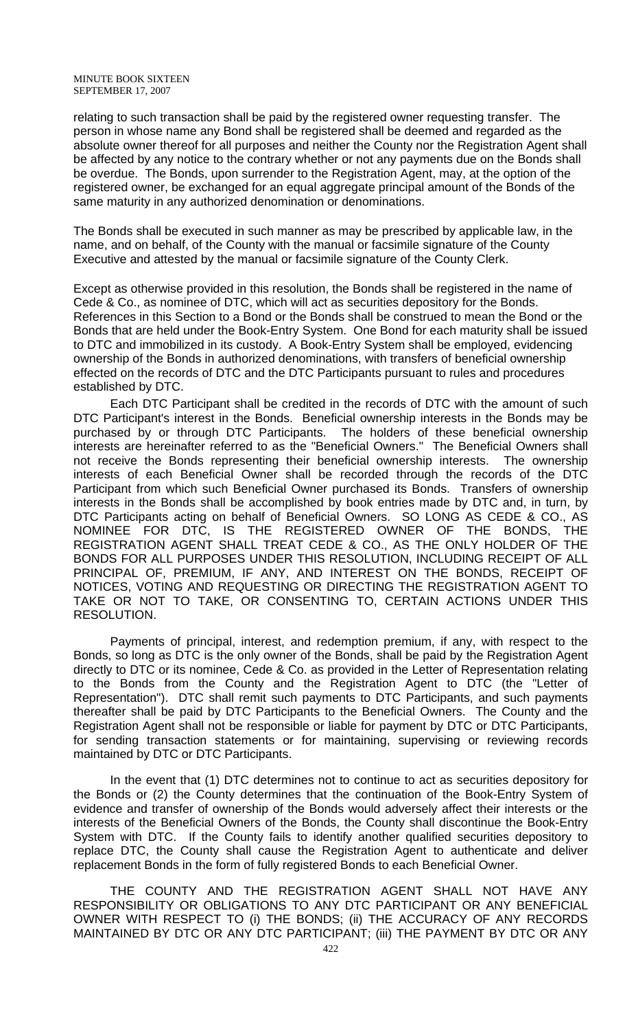relating to such transaction shall be paid by the registered owner requesting transfer. The person in whose name any Bond shall be registered shall be deemed and regarded as the absolute owner thereof for all purposes and neither the County nor the Registration Agent shall be affected by any notice to the contrary whether or not any payments due on the Bonds shall be overdue. The Bonds, upon surrender to the Registration Agent, may, at the option of the registered owner, be exchanged for an equal aggregate principal amount of the Bonds of the same maturity in any authorized denomination or denominations.

The Bonds shall be executed in such manner as may be prescribed by applicable law, in the name, and on behalf, of the County with the manual or facsimile signature of the County Executive and attested by the manual or facsimile signature of the County Clerk.

Except as otherwise provided in this resolution, the Bonds shall be registered in the name of Cede & Co., as nominee of DTC, which will act as securities depository for the Bonds. References in this Section to a Bond or the Bonds shall be construed to mean the Bond or the Bonds that are held under the Book-Entry System. One Bond for each maturity shall be issued to DTC and immobilized in its custody. A Book-Entry System shall be employed, evidencing ownership of the Bonds in authorized denominations, with transfers of beneficial ownership effected on the records of DTC and the DTC Participants pursuant to rules and procedures established by DTC.

Each DTC Participant shall be credited in the records of DTC with the amount of such DTC Participant's interest in the Bonds. Beneficial ownership interests in the Bonds may be purchased by or through DTC Participants. The holders of these beneficial ownership interests are hereinafter referred to as the "Beneficial Owners." The Beneficial Owners shall not receive the Bonds representing their beneficial ownership interests. The ownership interests of each Beneficial Owner shall be recorded through the records of the DTC Participant from which such Beneficial Owner purchased its Bonds. Transfers of ownership interests in the Bonds shall be accomplished by book entries made by DTC and, in turn, by DTC Participants acting on behalf of Beneficial Owners. SO LONG AS CEDE & CO., AS NOMINEE FOR DTC, IS THE REGISTERED OWNER OF THE BONDS, THE REGISTRATION AGENT SHALL TREAT CEDE & CO., AS THE ONLY HOLDER OF THE BONDS FOR ALL PURPOSES UNDER THIS RESOLUTION, INCLUDING RECEIPT OF ALL PRINCIPAL OF, PREMIUM, IF ANY, AND INTEREST ON THE BONDS, RECEIPT OF NOTICES, VOTING AND REQUESTING OR DIRECTING THE REGISTRATION AGENT TO TAKE OR NOT TO TAKE, OR CONSENTING TO, CERTAIN ACTIONS UNDER THIS RESOLUTION.

Payments of principal, interest, and redemption premium, if any, with respect to the Bonds, so long as DTC is the only owner of the Bonds, shall be paid by the Registration Agent directly to DTC or its nominee, Cede & Co. as provided in the Letter of Representation relating to the Bonds from the County and the Registration Agent to DTC (the "Letter of Representation"). DTC shall remit such payments to DTC Participants, and such payments thereafter shall be paid by DTC Participants to the Beneficial Owners. The County and the Registration Agent shall not be responsible or liable for payment by DTC or DTC Participants, for sending transaction statements or for maintaining, supervising or reviewing records maintained by DTC or DTC Participants.

In the event that (1) DTC determines not to continue to act as securities depository for the Bonds or (2) the County determines that the continuation of the Book-Entry System of evidence and transfer of ownership of the Bonds would adversely affect their interests or the interests of the Beneficial Owners of the Bonds, the County shall discontinue the Book-Entry System with DTC. If the County fails to identify another qualified securities depository to replace DTC, the County shall cause the Registration Agent to authenticate and deliver replacement Bonds in the form of fully registered Bonds to each Beneficial Owner.

THE COUNTY AND THE REGISTRATION AGENT SHALL NOT HAVE ANY RESPONSIBILITY OR OBLIGATIONS TO ANY DTC PARTICIPANT OR ANY BENEFICIAL OWNER WITH RESPECT TO (i) THE BONDS; (ii) THE ACCURACY OF ANY RECORDS MAINTAINED BY DTC OR ANY DTC PARTICIPANT; (iii) THE PAYMENT BY DTC OR ANY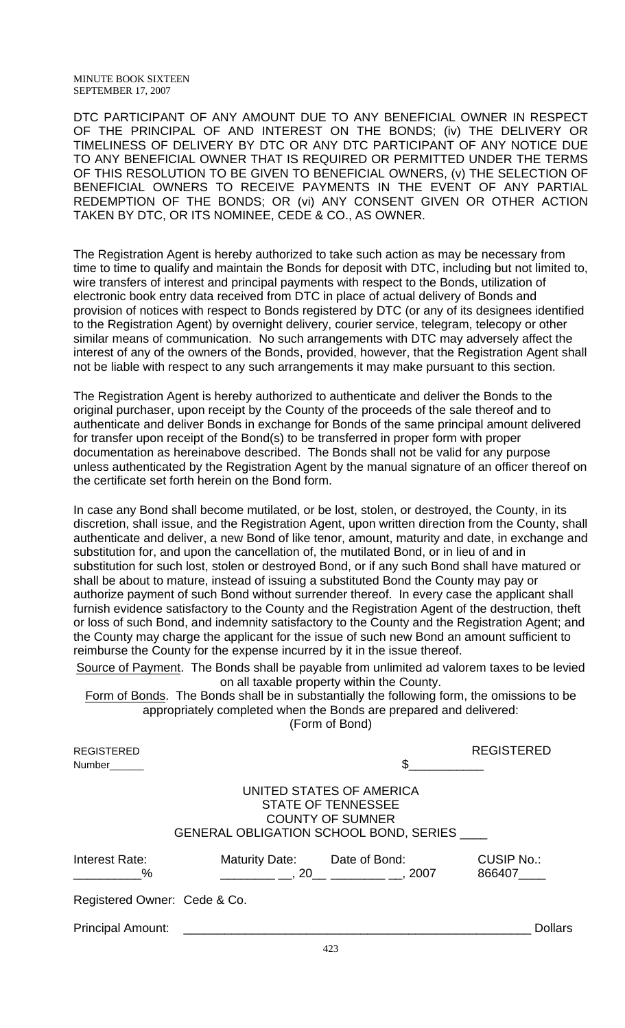DTC PARTICIPANT OF ANY AMOUNT DUE TO ANY BENEFICIAL OWNER IN RESPECT OF THE PRINCIPAL OF AND INTEREST ON THE BONDS; (iv) THE DELIVERY OR TIMELINESS OF DELIVERY BY DTC OR ANY DTC PARTICIPANT OF ANY NOTICE DUE TO ANY BENEFICIAL OWNER THAT IS REQUIRED OR PERMITTED UNDER THE TERMS OF THIS RESOLUTION TO BE GIVEN TO BENEFICIAL OWNERS, (v) THE SELECTION OF BENEFICIAL OWNERS TO RECEIVE PAYMENTS IN THE EVENT OF ANY PARTIAL REDEMPTION OF THE BONDS; OR (vi) ANY CONSENT GIVEN OR OTHER ACTION TAKEN BY DTC, OR ITS NOMINEE, CEDE & CO., AS OWNER.

The Registration Agent is hereby authorized to take such action as may be necessary from time to time to qualify and maintain the Bonds for deposit with DTC, including but not limited to, wire transfers of interest and principal payments with respect to the Bonds, utilization of electronic book entry data received from DTC in place of actual delivery of Bonds and provision of notices with respect to Bonds registered by DTC (or any of its designees identified to the Registration Agent) by overnight delivery, courier service, telegram, telecopy or other similar means of communication. No such arrangements with DTC may adversely affect the interest of any of the owners of the Bonds, provided, however, that the Registration Agent shall not be liable with respect to any such arrangements it may make pursuant to this section.

The Registration Agent is hereby authorized to authenticate and deliver the Bonds to the original purchaser, upon receipt by the County of the proceeds of the sale thereof and to authenticate and deliver Bonds in exchange for Bonds of the same principal amount delivered for transfer upon receipt of the Bond(s) to be transferred in proper form with proper documentation as hereinabove described. The Bonds shall not be valid for any purpose unless authenticated by the Registration Agent by the manual signature of an officer thereof on the certificate set forth herein on the Bond form.

In case any Bond shall become mutilated, or be lost, stolen, or destroyed, the County, in its discretion, shall issue, and the Registration Agent, upon written direction from the County, shall authenticate and deliver, a new Bond of like tenor, amount, maturity and date, in exchange and substitution for, and upon the cancellation of, the mutilated Bond, or in lieu of and in substitution for such lost, stolen or destroyed Bond, or if any such Bond shall have matured or shall be about to mature, instead of issuing a substituted Bond the County may pay or authorize payment of such Bond without surrender thereof. In every case the applicant shall furnish evidence satisfactory to the County and the Registration Agent of the destruction, theft or loss of such Bond, and indemnity satisfactory to the County and the Registration Agent; and the County may charge the applicant for the issue of such new Bond an amount sufficient to reimburse the County for the expense incurred by it in the issue thereof.

Source of Payment. The Bonds shall be payable from unlimited ad valorem taxes to be levied on all taxable property within the County.

Form of Bonds. The Bonds shall be in substantially the following form, the omissions to be appropriately completed when the Bonds are prepared and delivered: (Form of Bond)

| <b>REGISTERED</b>            |                              |                                                                                                                            | <b>REGISTERED</b>           |
|------------------------------|------------------------------|----------------------------------------------------------------------------------------------------------------------------|-----------------------------|
| Number                       |                              |                                                                                                                            |                             |
|                              |                              | UNITED STATES OF AMERICA<br><b>STATE OF TENNESSEE</b><br><b>COUNTY OF SUMNER</b><br>GENERAL OBLIGATION SCHOOL BOND, SERIES |                             |
| Interest Rate:<br>$\%$       | Maturity Date: Date of Bond: | $20 - 2007$                                                                                                                | <b>CUSIP No.:</b><br>866407 |
| Registered Owner: Cede & Co. |                              |                                                                                                                            |                             |
| <b>Principal Amount:</b>     |                              |                                                                                                                            | <b>Dollars</b>              |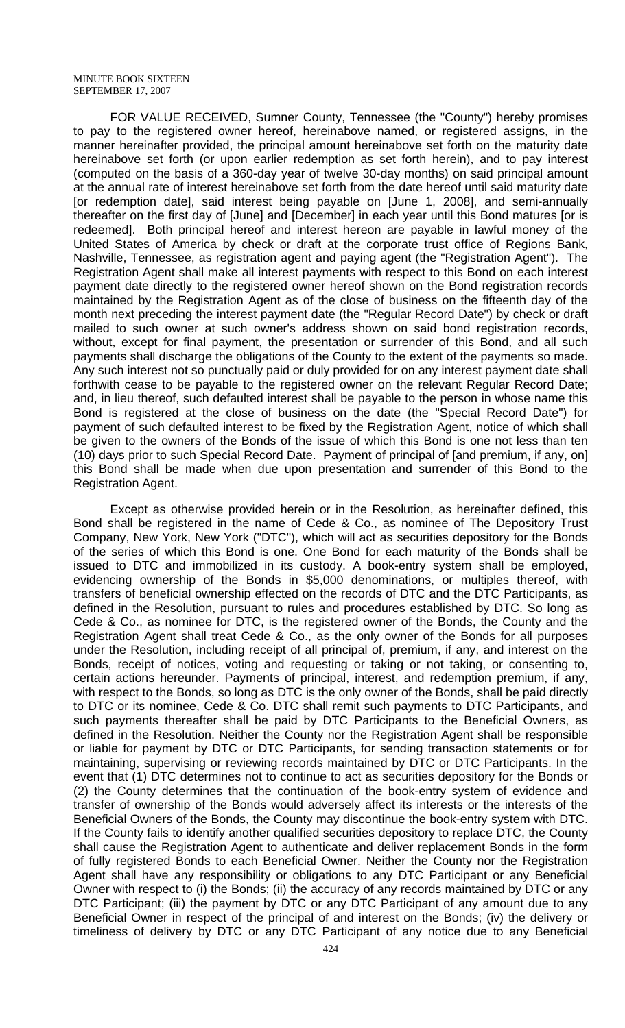FOR VALUE RECEIVED, Sumner County, Tennessee (the "County") hereby promises to pay to the registered owner hereof, hereinabove named, or registered assigns, in the manner hereinafter provided, the principal amount hereinabove set forth on the maturity date hereinabove set forth (or upon earlier redemption as set forth herein), and to pay interest (computed on the basis of a 360-day year of twelve 30-day months) on said principal amount at the annual rate of interest hereinabove set forth from the date hereof until said maturity date [or redemption date], said interest being payable on [June 1, 2008], and semi-annually thereafter on the first day of [June] and [December] in each year until this Bond matures [or is redeemed]. Both principal hereof and interest hereon are payable in lawful money of the United States of America by check or draft at the corporate trust office of Regions Bank, Nashville, Tennessee, as registration agent and paying agent (the "Registration Agent"). The Registration Agent shall make all interest payments with respect to this Bond on each interest payment date directly to the registered owner hereof shown on the Bond registration records maintained by the Registration Agent as of the close of business on the fifteenth day of the month next preceding the interest payment date (the "Regular Record Date") by check or draft mailed to such owner at such owner's address shown on said bond registration records, without, except for final payment, the presentation or surrender of this Bond, and all such payments shall discharge the obligations of the County to the extent of the payments so made. Any such interest not so punctually paid or duly provided for on any interest payment date shall forthwith cease to be payable to the registered owner on the relevant Regular Record Date; and, in lieu thereof, such defaulted interest shall be payable to the person in whose name this Bond is registered at the close of business on the date (the "Special Record Date") for payment of such defaulted interest to be fixed by the Registration Agent, notice of which shall be given to the owners of the Bonds of the issue of which this Bond is one not less than ten (10) days prior to such Special Record Date. Payment of principal of [and premium, if any, on] this Bond shall be made when due upon presentation and surrender of this Bond to the Registration Agent.

Except as otherwise provided herein or in the Resolution, as hereinafter defined, this Bond shall be registered in the name of Cede & Co., as nominee of The Depository Trust Company, New York, New York ("DTC"), which will act as securities depository for the Bonds of the series of which this Bond is one. One Bond for each maturity of the Bonds shall be issued to DTC and immobilized in its custody. A book-entry system shall be employed, evidencing ownership of the Bonds in \$5,000 denominations, or multiples thereof, with transfers of beneficial ownership effected on the records of DTC and the DTC Participants, as defined in the Resolution, pursuant to rules and procedures established by DTC. So long as Cede & Co., as nominee for DTC, is the registered owner of the Bonds, the County and the Registration Agent shall treat Cede & Co., as the only owner of the Bonds for all purposes under the Resolution, including receipt of all principal of, premium, if any, and interest on the Bonds, receipt of notices, voting and requesting or taking or not taking, or consenting to, certain actions hereunder. Payments of principal, interest, and redemption premium, if any, with respect to the Bonds, so long as DTC is the only owner of the Bonds, shall be paid directly to DTC or its nominee, Cede & Co. DTC shall remit such payments to DTC Participants, and such payments thereafter shall be paid by DTC Participants to the Beneficial Owners, as defined in the Resolution. Neither the County nor the Registration Agent shall be responsible or liable for payment by DTC or DTC Participants, for sending transaction statements or for maintaining, supervising or reviewing records maintained by DTC or DTC Participants. In the event that (1) DTC determines not to continue to act as securities depository for the Bonds or (2) the County determines that the continuation of the book-entry system of evidence and transfer of ownership of the Bonds would adversely affect its interests or the interests of the Beneficial Owners of the Bonds, the County may discontinue the book-entry system with DTC. If the County fails to identify another qualified securities depository to replace DTC, the County shall cause the Registration Agent to authenticate and deliver replacement Bonds in the form of fully registered Bonds to each Beneficial Owner. Neither the County nor the Registration Agent shall have any responsibility or obligations to any DTC Participant or any Beneficial Owner with respect to (i) the Bonds; (ii) the accuracy of any records maintained by DTC or any DTC Participant; (iii) the payment by DTC or any DTC Participant of any amount due to any Beneficial Owner in respect of the principal of and interest on the Bonds; (iv) the delivery or timeliness of delivery by DTC or any DTC Participant of any notice due to any Beneficial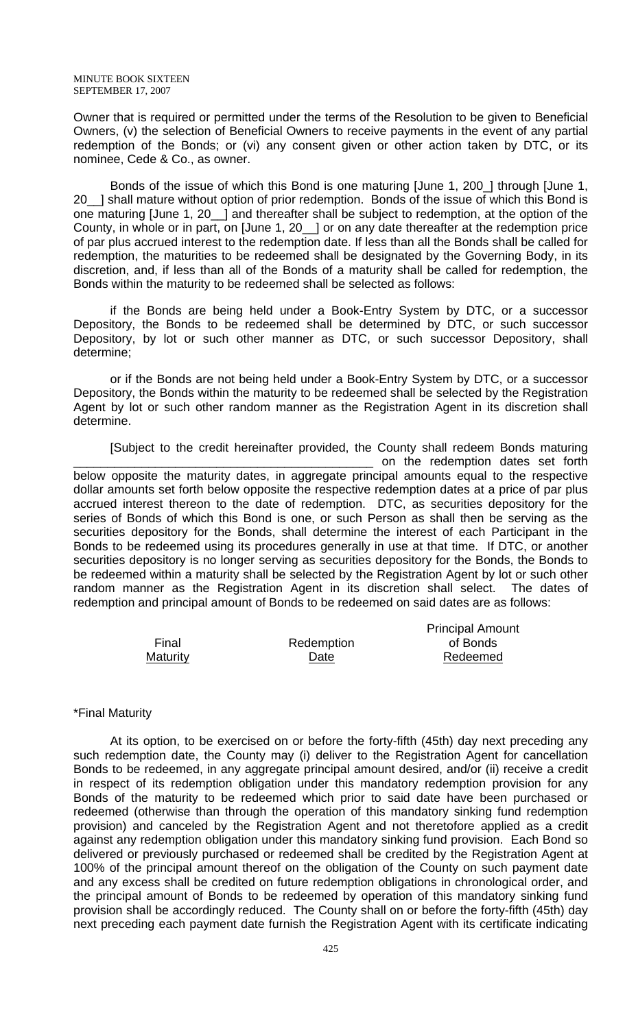Owner that is required or permitted under the terms of the Resolution to be given to Beneficial Owners, (v) the selection of Beneficial Owners to receive payments in the event of any partial redemption of the Bonds; or (vi) any consent given or other action taken by DTC, or its nominee, Cede & Co., as owner.

Bonds of the issue of which this Bond is one maturing [June 1, 200\_] through [June 1, 20\_\_] shall mature without option of prior redemption. Bonds of the issue of which this Bond is one maturing [June 1, 20\_\_] and thereafter shall be subject to redemption, at the option of the County, in whole or in part, on [June 1, 20\_\_] or on any date thereafter at the redemption price of par plus accrued interest to the redemption date. If less than all the Bonds shall be called for redemption, the maturities to be redeemed shall be designated by the Governing Body, in its discretion, and, if less than all of the Bonds of a maturity shall be called for redemption, the Bonds within the maturity to be redeemed shall be selected as follows:

if the Bonds are being held under a Book-Entry System by DTC, or a successor Depository, the Bonds to be redeemed shall be determined by DTC, or such successor Depository, by lot or such other manner as DTC, or such successor Depository, shall determine;

or if the Bonds are not being held under a Book-Entry System by DTC, or a successor Depository, the Bonds within the maturity to be redeemed shall be selected by the Registration Agent by lot or such other random manner as the Registration Agent in its discretion shall determine.

[Subject to the credit hereinafter provided, the County shall redeem Bonds maturing on the redemption dates set forth below opposite the maturity dates, in aggregate principal amounts equal to the respective dollar amounts set forth below opposite the respective redemption dates at a price of par plus accrued interest thereon to the date of redemption. DTC, as securities depository for the series of Bonds of which this Bond is one, or such Person as shall then be serving as the securities depository for the Bonds, shall determine the interest of each Participant in the Bonds to be redeemed using its procedures generally in use at that time. If DTC, or another securities depository is no longer serving as securities depository for the Bonds, the Bonds to be redeemed within a maturity shall be selected by the Registration Agent by lot or such other random manner as the Registration Agent in its discretion shall select. The dates of redemption and principal amount of Bonds to be redeemed on said dates are as follows:

|                 |            | <b>Principal Amount</b> |
|-----------------|------------|-------------------------|
| Final           | Redemption | of Bonds                |
| <b>Maturity</b> | Date       | Redeemed                |

## \*Final Maturity

At its option, to be exercised on or before the forty-fifth (45th) day next preceding any such redemption date, the County may (i) deliver to the Registration Agent for cancellation Bonds to be redeemed, in any aggregate principal amount desired, and/or (ii) receive a credit in respect of its redemption obligation under this mandatory redemption provision for any Bonds of the maturity to be redeemed which prior to said date have been purchased or redeemed (otherwise than through the operation of this mandatory sinking fund redemption provision) and canceled by the Registration Agent and not theretofore applied as a credit against any redemption obligation under this mandatory sinking fund provision. Each Bond so delivered or previously purchased or redeemed shall be credited by the Registration Agent at 100% of the principal amount thereof on the obligation of the County on such payment date and any excess shall be credited on future redemption obligations in chronological order, and the principal amount of Bonds to be redeemed by operation of this mandatory sinking fund provision shall be accordingly reduced. The County shall on or before the forty-fifth (45th) day next preceding each payment date furnish the Registration Agent with its certificate indicating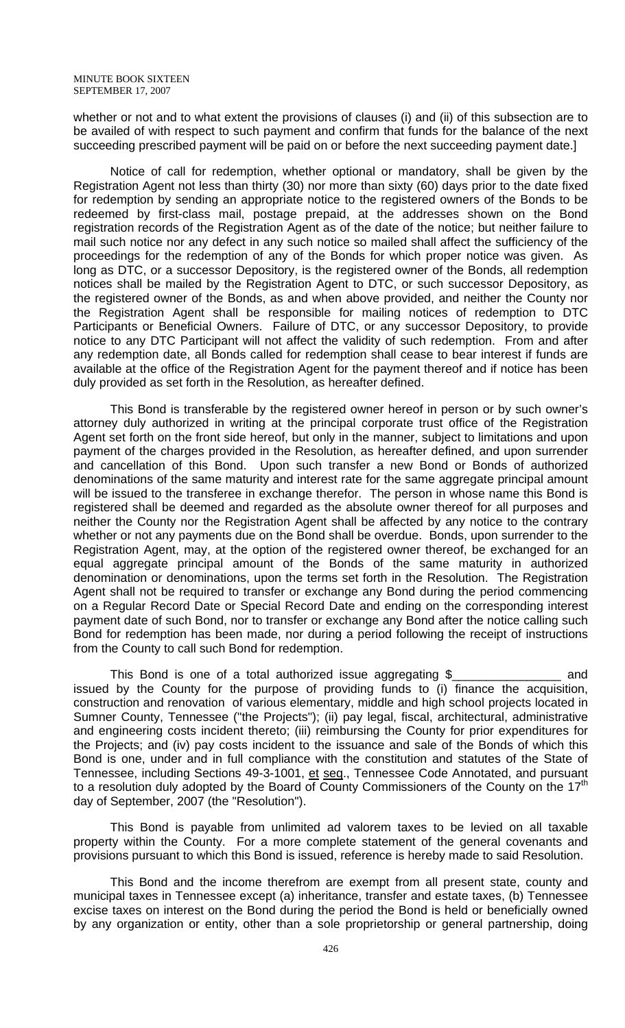whether or not and to what extent the provisions of clauses (i) and (ii) of this subsection are to be availed of with respect to such payment and confirm that funds for the balance of the next succeeding prescribed payment will be paid on or before the next succeeding payment date.]

Notice of call for redemption, whether optional or mandatory, shall be given by the Registration Agent not less than thirty (30) nor more than sixty (60) days prior to the date fixed for redemption by sending an appropriate notice to the registered owners of the Bonds to be redeemed by first-class mail, postage prepaid, at the addresses shown on the Bond registration records of the Registration Agent as of the date of the notice; but neither failure to mail such notice nor any defect in any such notice so mailed shall affect the sufficiency of the proceedings for the redemption of any of the Bonds for which proper notice was given. As long as DTC, or a successor Depository, is the registered owner of the Bonds, all redemption notices shall be mailed by the Registration Agent to DTC, or such successor Depository, as the registered owner of the Bonds, as and when above provided, and neither the County nor the Registration Agent shall be responsible for mailing notices of redemption to DTC Participants or Beneficial Owners. Failure of DTC, or any successor Depository, to provide notice to any DTC Participant will not affect the validity of such redemption. From and after any redemption date, all Bonds called for redemption shall cease to bear interest if funds are available at the office of the Registration Agent for the payment thereof and if notice has been duly provided as set forth in the Resolution, as hereafter defined.

This Bond is transferable by the registered owner hereof in person or by such owner's attorney duly authorized in writing at the principal corporate trust office of the Registration Agent set forth on the front side hereof, but only in the manner, subject to limitations and upon payment of the charges provided in the Resolution, as hereafter defined, and upon surrender and cancellation of this Bond. Upon such transfer a new Bond or Bonds of authorized denominations of the same maturity and interest rate for the same aggregate principal amount will be issued to the transferee in exchange therefor. The person in whose name this Bond is registered shall be deemed and regarded as the absolute owner thereof for all purposes and neither the County nor the Registration Agent shall be affected by any notice to the contrary whether or not any payments due on the Bond shall be overdue. Bonds, upon surrender to the Registration Agent, may, at the option of the registered owner thereof, be exchanged for an equal aggregate principal amount of the Bonds of the same maturity in authorized denomination or denominations, upon the terms set forth in the Resolution. The Registration Agent shall not be required to transfer or exchange any Bond during the period commencing on a Regular Record Date or Special Record Date and ending on the corresponding interest payment date of such Bond, nor to transfer or exchange any Bond after the notice calling such Bond for redemption has been made, nor during a period following the receipt of instructions from the County to call such Bond for redemption.

This Bond is one of a total authorized issue aggregating \$ issued by the County for the purpose of providing funds to (i) finance the acquisition, construction and renovation of various elementary, middle and high school projects located in Sumner County, Tennessee ("the Projects"); (ii) pay legal, fiscal, architectural, administrative and engineering costs incident thereto; (iii) reimbursing the County for prior expenditures for the Projects; and (iv) pay costs incident to the issuance and sale of the Bonds of which this Bond is one, under and in full compliance with the constitution and statutes of the State of Tennessee, including Sections 49-3-1001, et seq., Tennessee Code Annotated, and pursuant to a resolution duly adopted by the Board of County Commissioners of the County on the 17<sup>th</sup> day of September, 2007 (the "Resolution").

This Bond is payable from unlimited ad valorem taxes to be levied on all taxable property within the County. For a more complete statement of the general covenants and provisions pursuant to which this Bond is issued, reference is hereby made to said Resolution.

This Bond and the income therefrom are exempt from all present state, county and municipal taxes in Tennessee except (a) inheritance, transfer and estate taxes, (b) Tennessee excise taxes on interest on the Bond during the period the Bond is held or beneficially owned by any organization or entity, other than a sole proprietorship or general partnership, doing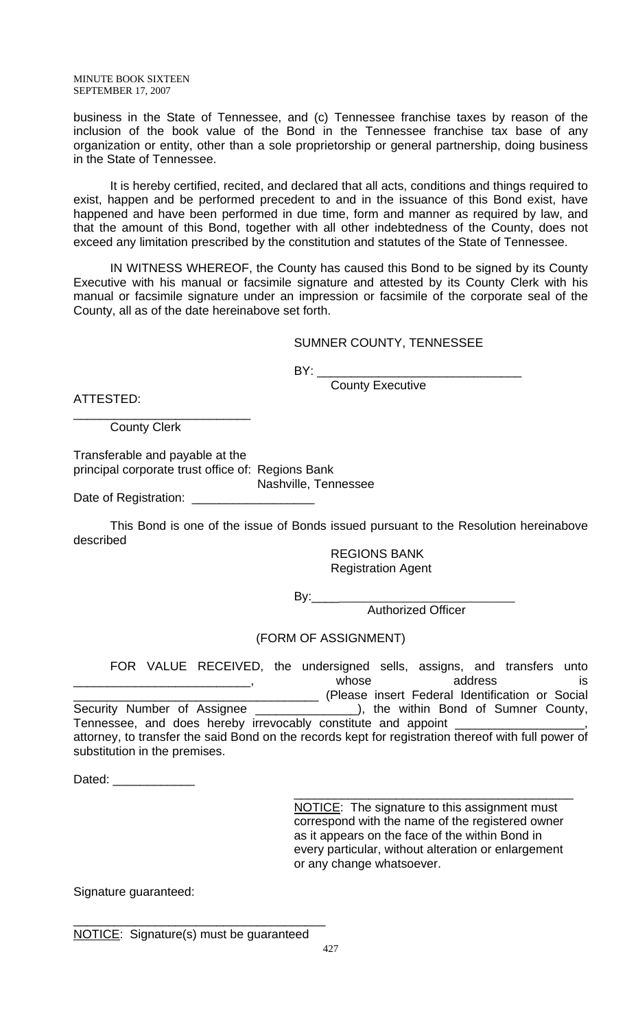business in the State of Tennessee, and (c) Tennessee franchise taxes by reason of the inclusion of the book value of the Bond in the Tennessee franchise tax base of any organization or entity, other than a sole proprietorship or general partnership, doing business in the State of Tennessee.

It is hereby certified, recited, and declared that all acts, conditions and things required to exist, happen and be performed precedent to and in the issuance of this Bond exist, have happened and have been performed in due time, form and manner as required by law, and that the amount of this Bond, together with all other indebtedness of the County, does not exceed any limitation prescribed by the constitution and statutes of the State of Tennessee.

IN WITNESS WHEREOF, the County has caused this Bond to be signed by its County Executive with his manual or facsimile signature and attested by its County Clerk with his manual or facsimile signature under an impression or facsimile of the corporate seal of the County, all as of the date hereinabove set forth.

## SUMNER COUNTY, TENNESSEE

 $BY:$ 

County Executive

ATTESTED:

County Clerk

\_\_\_\_\_\_\_\_\_\_\_\_\_\_\_\_\_\_\_\_\_\_\_\_\_\_

Transferable and payable at the principal corporate trust office of: Regions Bank Nashville, Tennessee

Date of Registration: \_\_\_\_\_\_\_\_\_

This Bond is one of the issue of Bonds issued pursuant to the Resolution hereinabove described

> REGIONS BANK Registration Agent

 $\mathsf{By:}\quad$ 

Authorized Officer

(FORM OF ASSIGNMENT)

FOR VALUE RECEIVED, the undersigned sells, assigns, and transfers unto \_\_\_\_\_\_\_\_\_\_\_\_\_\_\_\_\_\_\_\_\_\_\_\_\_\_, whose address is \_\_\_\_\_\_\_\_\_\_\_\_\_\_\_\_\_\_\_\_\_\_\_\_\_\_\_\_\_\_\_\_\_\_\_\_ (Please insert Federal Identification or Social Security Number of Assignee \_\_\_\_\_\_\_\_\_\_\_\_\_\_\_), the within Bond of Sumner County, Tennessee, and does hereby irrevocably constitute and appoint attorney, to transfer the said Bond on the records kept for registration thereof with full power of

substitution in the premises.

Dated:

\_\_\_\_\_\_\_\_\_\_\_\_\_\_\_\_\_\_\_\_\_\_\_\_\_\_\_\_\_\_\_\_\_\_\_\_\_\_\_\_\_ NOTICE: The signature to this assignment must correspond with the name of the registered owner as it appears on the face of the within Bond in every particular, without alteration or enlargement or any change whatsoever.

Signature guaranteed:

\_\_\_\_\_\_\_\_\_\_\_\_\_\_\_\_\_\_\_\_\_\_\_\_\_\_\_\_\_\_\_\_\_\_\_\_\_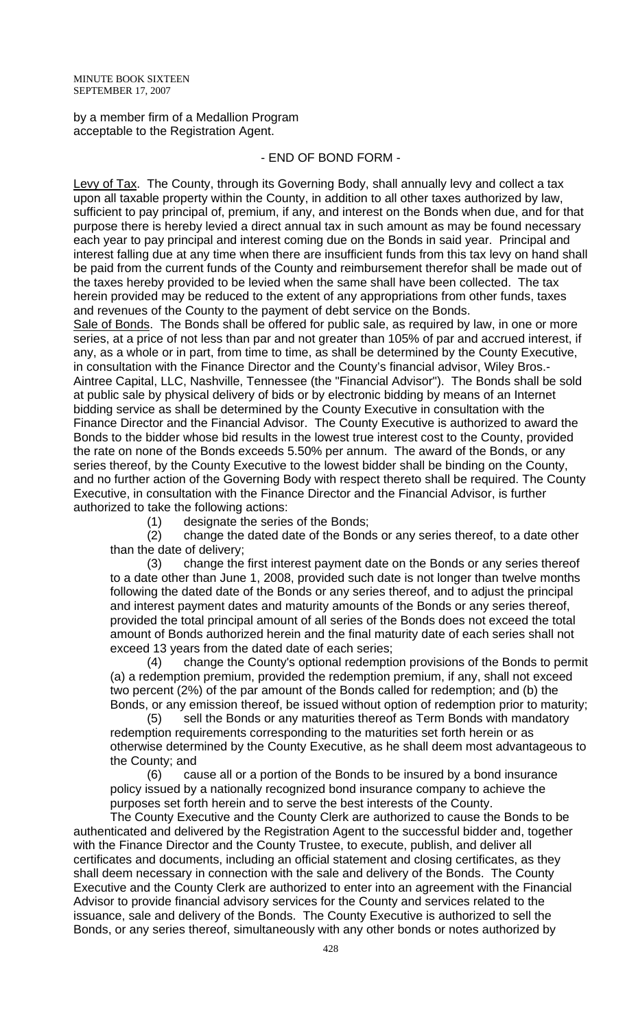by a member firm of a Medallion Program acceptable to the Registration Agent.

#### - END OF BOND FORM -

Levy of Tax. The County, through its Governing Body, shall annually levy and collect a tax upon all taxable property within the County, in addition to all other taxes authorized by law, sufficient to pay principal of, premium, if any, and interest on the Bonds when due, and for that purpose there is hereby levied a direct annual tax in such amount as may be found necessary each year to pay principal and interest coming due on the Bonds in said year. Principal and interest falling due at any time when there are insufficient funds from this tax levy on hand shall be paid from the current funds of the County and reimbursement therefor shall be made out of the taxes hereby provided to be levied when the same shall have been collected. The tax herein provided may be reduced to the extent of any appropriations from other funds, taxes and revenues of the County to the payment of debt service on the Bonds.

Sale of Bonds. The Bonds shall be offered for public sale, as required by law, in one or more series, at a price of not less than par and not greater than 105% of par and accrued interest, if any, as a whole or in part, from time to time, as shall be determined by the County Executive, in consultation with the Finance Director and the County's financial advisor, Wiley Bros.- Aintree Capital, LLC, Nashville, Tennessee (the "Financial Advisor"). The Bonds shall be sold at public sale by physical delivery of bids or by electronic bidding by means of an Internet bidding service as shall be determined by the County Executive in consultation with the Finance Director and the Financial Advisor. The County Executive is authorized to award the Bonds to the bidder whose bid results in the lowest true interest cost to the County, provided the rate on none of the Bonds exceeds 5.50% per annum. The award of the Bonds, or any series thereof, by the County Executive to the lowest bidder shall be binding on the County, and no further action of the Governing Body with respect thereto shall be required. The County Executive, in consultation with the Finance Director and the Financial Advisor, is further authorized to take the following actions:

(1) designate the series of the Bonds;

(2) change the dated date of the Bonds or any series thereof, to a date other than the date of delivery;

(3) change the first interest payment date on the Bonds or any series thereof to a date other than June 1, 2008, provided such date is not longer than twelve months following the dated date of the Bonds or any series thereof, and to adjust the principal and interest payment dates and maturity amounts of the Bonds or any series thereof, provided the total principal amount of all series of the Bonds does not exceed the total amount of Bonds authorized herein and the final maturity date of each series shall not exceed 13 years from the dated date of each series;

(4) change the County's optional redemption provisions of the Bonds to permit (a) a redemption premium, provided the redemption premium, if any, shall not exceed two percent (2%) of the par amount of the Bonds called for redemption; and (b) the Bonds, or any emission thereof, be issued without option of redemption prior to maturity;

(5) sell the Bonds or any maturities thereof as Term Bonds with mandatory redemption requirements corresponding to the maturities set forth herein or as otherwise determined by the County Executive, as he shall deem most advantageous to the County; and

(6) cause all or a portion of the Bonds to be insured by a bond insurance policy issued by a nationally recognized bond insurance company to achieve the purposes set forth herein and to serve the best interests of the County.

The County Executive and the County Clerk are authorized to cause the Bonds to be authenticated and delivered by the Registration Agent to the successful bidder and, together with the Finance Director and the County Trustee, to execute, publish, and deliver all certificates and documents, including an official statement and closing certificates, as they shall deem necessary in connection with the sale and delivery of the Bonds. The County Executive and the County Clerk are authorized to enter into an agreement with the Financial Advisor to provide financial advisory services for the County and services related to the issuance, sale and delivery of the Bonds. The County Executive is authorized to sell the Bonds, or any series thereof, simultaneously with any other bonds or notes authorized by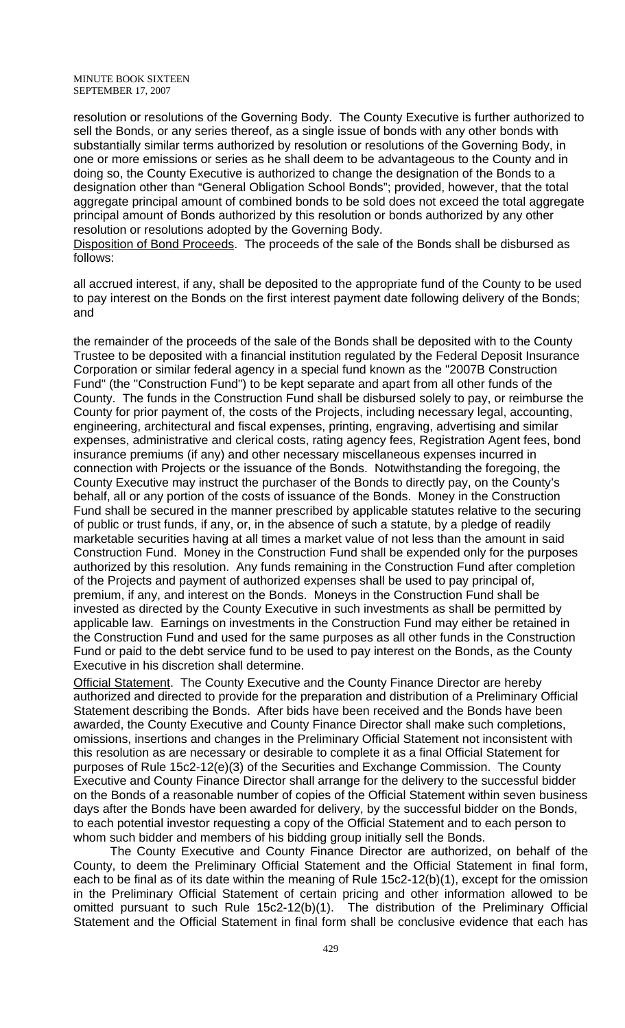resolution or resolutions of the Governing Body. The County Executive is further authorized to sell the Bonds, or any series thereof, as a single issue of bonds with any other bonds with substantially similar terms authorized by resolution or resolutions of the Governing Body, in one or more emissions or series as he shall deem to be advantageous to the County and in doing so, the County Executive is authorized to change the designation of the Bonds to a designation other than "General Obligation School Bonds"; provided, however, that the total aggregate principal amount of combined bonds to be sold does not exceed the total aggregate principal amount of Bonds authorized by this resolution or bonds authorized by any other resolution or resolutions adopted by the Governing Body.

Disposition of Bond Proceeds. The proceeds of the sale of the Bonds shall be disbursed as follows:

all accrued interest, if any, shall be deposited to the appropriate fund of the County to be used to pay interest on the Bonds on the first interest payment date following delivery of the Bonds; and

the remainder of the proceeds of the sale of the Bonds shall be deposited with to the County Trustee to be deposited with a financial institution regulated by the Federal Deposit Insurance Corporation or similar federal agency in a special fund known as the "2007B Construction Fund" (the "Construction Fund") to be kept separate and apart from all other funds of the County. The funds in the Construction Fund shall be disbursed solely to pay, or reimburse the County for prior payment of, the costs of the Projects, including necessary legal, accounting, engineering, architectural and fiscal expenses, printing, engraving, advertising and similar expenses, administrative and clerical costs, rating agency fees, Registration Agent fees, bond insurance premiums (if any) and other necessary miscellaneous expenses incurred in connection with Projects or the issuance of the Bonds. Notwithstanding the foregoing, the County Executive may instruct the purchaser of the Bonds to directly pay, on the County's behalf, all or any portion of the costs of issuance of the Bonds. Money in the Construction Fund shall be secured in the manner prescribed by applicable statutes relative to the securing of public or trust funds, if any, or, in the absence of such a statute, by a pledge of readily marketable securities having at all times a market value of not less than the amount in said Construction Fund. Money in the Construction Fund shall be expended only for the purposes authorized by this resolution. Any funds remaining in the Construction Fund after completion of the Projects and payment of authorized expenses shall be used to pay principal of, premium, if any, and interest on the Bonds. Moneys in the Construction Fund shall be invested as directed by the County Executive in such investments as shall be permitted by applicable law. Earnings on investments in the Construction Fund may either be retained in the Construction Fund and used for the same purposes as all other funds in the Construction Fund or paid to the debt service fund to be used to pay interest on the Bonds, as the County Executive in his discretion shall determine.

Official Statement. The County Executive and the County Finance Director are hereby authorized and directed to provide for the preparation and distribution of a Preliminary Official Statement describing the Bonds. After bids have been received and the Bonds have been awarded, the County Executive and County Finance Director shall make such completions, omissions, insertions and changes in the Preliminary Official Statement not inconsistent with this resolution as are necessary or desirable to complete it as a final Official Statement for purposes of Rule 15c2-12(e)(3) of the Securities and Exchange Commission. The County Executive and County Finance Director shall arrange for the delivery to the successful bidder on the Bonds of a reasonable number of copies of the Official Statement within seven business days after the Bonds have been awarded for delivery, by the successful bidder on the Bonds, to each potential investor requesting a copy of the Official Statement and to each person to whom such bidder and members of his bidding group initially sell the Bonds.

The County Executive and County Finance Director are authorized, on behalf of the County, to deem the Preliminary Official Statement and the Official Statement in final form, each to be final as of its date within the meaning of Rule 15c2-12(b)(1), except for the omission in the Preliminary Official Statement of certain pricing and other information allowed to be omitted pursuant to such Rule 15c2-12(b)(1). The distribution of the Preliminary Official Statement and the Official Statement in final form shall be conclusive evidence that each has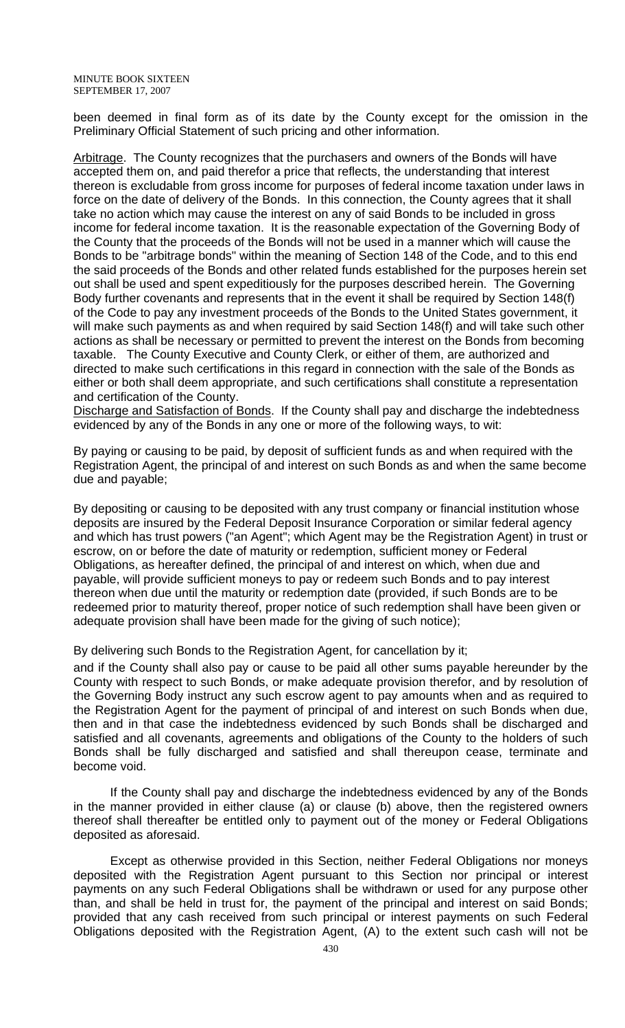been deemed in final form as of its date by the County except for the omission in the Preliminary Official Statement of such pricing and other information.

Arbitrage. The County recognizes that the purchasers and owners of the Bonds will have accepted them on, and paid therefor a price that reflects, the understanding that interest thereon is excludable from gross income for purposes of federal income taxation under laws in force on the date of delivery of the Bonds. In this connection, the County agrees that it shall take no action which may cause the interest on any of said Bonds to be included in gross income for federal income taxation. It is the reasonable expectation of the Governing Body of the County that the proceeds of the Bonds will not be used in a manner which will cause the Bonds to be "arbitrage bonds" within the meaning of Section 148 of the Code, and to this end the said proceeds of the Bonds and other related funds established for the purposes herein set out shall be used and spent expeditiously for the purposes described herein. The Governing Body further covenants and represents that in the event it shall be required by Section 148(f) of the Code to pay any investment proceeds of the Bonds to the United States government, it will make such payments as and when required by said Section 148(f) and will take such other actions as shall be necessary or permitted to prevent the interest on the Bonds from becoming taxable. The County Executive and County Clerk, or either of them, are authorized and directed to make such certifications in this regard in connection with the sale of the Bonds as either or both shall deem appropriate, and such certifications shall constitute a representation and certification of the County.

Discharge and Satisfaction of Bonds. If the County shall pay and discharge the indebtedness evidenced by any of the Bonds in any one or more of the following ways, to wit:

By paying or causing to be paid, by deposit of sufficient funds as and when required with the Registration Agent, the principal of and interest on such Bonds as and when the same become due and payable;

By depositing or causing to be deposited with any trust company or financial institution whose deposits are insured by the Federal Deposit Insurance Corporation or similar federal agency and which has trust powers ("an Agent"; which Agent may be the Registration Agent) in trust or escrow, on or before the date of maturity or redemption, sufficient money or Federal Obligations, as hereafter defined, the principal of and interest on which, when due and payable, will provide sufficient moneys to pay or redeem such Bonds and to pay interest thereon when due until the maturity or redemption date (provided, if such Bonds are to be redeemed prior to maturity thereof, proper notice of such redemption shall have been given or adequate provision shall have been made for the giving of such notice);

By delivering such Bonds to the Registration Agent, for cancellation by it;

and if the County shall also pay or cause to be paid all other sums payable hereunder by the County with respect to such Bonds, or make adequate provision therefor, and by resolution of the Governing Body instruct any such escrow agent to pay amounts when and as required to the Registration Agent for the payment of principal of and interest on such Bonds when due, then and in that case the indebtedness evidenced by such Bonds shall be discharged and satisfied and all covenants, agreements and obligations of the County to the holders of such Bonds shall be fully discharged and satisfied and shall thereupon cease, terminate and become void.

If the County shall pay and discharge the indebtedness evidenced by any of the Bonds in the manner provided in either clause (a) or clause (b) above, then the registered owners thereof shall thereafter be entitled only to payment out of the money or Federal Obligations deposited as aforesaid.

Except as otherwise provided in this Section, neither Federal Obligations nor moneys deposited with the Registration Agent pursuant to this Section nor principal or interest payments on any such Federal Obligations shall be withdrawn or used for any purpose other than, and shall be held in trust for, the payment of the principal and interest on said Bonds; provided that any cash received from such principal or interest payments on such Federal Obligations deposited with the Registration Agent, (A) to the extent such cash will not be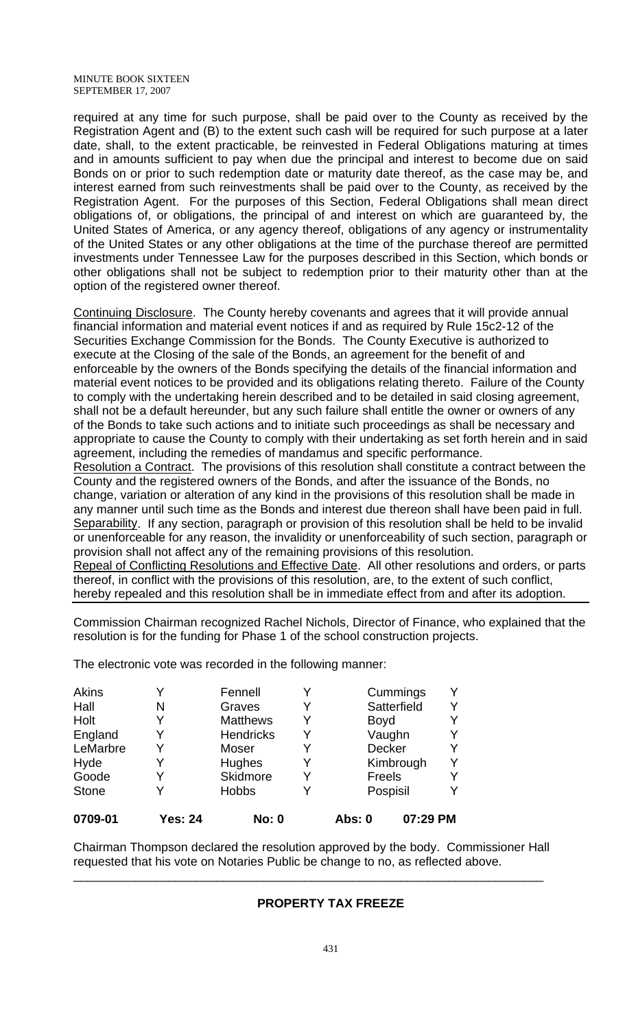required at any time for such purpose, shall be paid over to the County as received by the Registration Agent and (B) to the extent such cash will be required for such purpose at a later date, shall, to the extent practicable, be reinvested in Federal Obligations maturing at times and in amounts sufficient to pay when due the principal and interest to become due on said Bonds on or prior to such redemption date or maturity date thereof, as the case may be, and interest earned from such reinvestments shall be paid over to the County, as received by the Registration Agent. For the purposes of this Section, Federal Obligations shall mean direct obligations of, or obligations, the principal of and interest on which are guaranteed by, the United States of America, or any agency thereof, obligations of any agency or instrumentality of the United States or any other obligations at the time of the purchase thereof are permitted investments under Tennessee Law for the purposes described in this Section, which bonds or other obligations shall not be subject to redemption prior to their maturity other than at the option of the registered owner thereof.

Continuing Disclosure. The County hereby covenants and agrees that it will provide annual financial information and material event notices if and as required by Rule 15c2-12 of the Securities Exchange Commission for the Bonds. The County Executive is authorized to execute at the Closing of the sale of the Bonds, an agreement for the benefit of and enforceable by the owners of the Bonds specifying the details of the financial information and material event notices to be provided and its obligations relating thereto. Failure of the County to comply with the undertaking herein described and to be detailed in said closing agreement, shall not be a default hereunder, but any such failure shall entitle the owner or owners of any of the Bonds to take such actions and to initiate such proceedings as shall be necessary and appropriate to cause the County to comply with their undertaking as set forth herein and in said agreement, including the remedies of mandamus and specific performance.

Resolution a Contract. The provisions of this resolution shall constitute a contract between the County and the registered owners of the Bonds, and after the issuance of the Bonds, no change, variation or alteration of any kind in the provisions of this resolution shall be made in any manner until such time as the Bonds and interest due thereon shall have been paid in full. Separability. If any section, paragraph or provision of this resolution shall be held to be invalid or unenforceable for any reason, the invalidity or unenforceability of such section, paragraph or provision shall not affect any of the remaining provisions of this resolution.

Repeal of Conflicting Resolutions and Effective Date. All other resolutions and orders, or parts thereof, in conflict with the provisions of this resolution, are, to the extent of such conflict, hereby repealed and this resolution shall be in immediate effect from and after its adoption.

Commission Chairman recognized Rachel Nichols, Director of Finance, who explained that the resolution is for the funding for Phase 1 of the school construction projects.

The electronic vote was recorded in the following manner:

| <b>Akins</b> |                | Fennell          |   |             | Cummings      |   |
|--------------|----------------|------------------|---|-------------|---------------|---|
| Hall         | N              | Graves           | Y |             | Satterfield   |   |
| Holt         | Y              | <b>Matthews</b>  | Y | <b>Boyd</b> |               |   |
| England      | Y              | <b>Hendricks</b> |   |             | Vaughn        |   |
| LeMarbre     | Y              | Moser            |   |             | <b>Decker</b> |   |
| Hyde         | Y              | Hughes           | Y |             | Kimbrough     | ∨ |
| Goode        | Y              | <b>Skidmore</b>  |   | Freels      |               |   |
| <b>Stone</b> | Y              | <b>Hobbs</b>     |   | Pospisil    |               |   |
| 0709-01      | <b>Yes: 24</b> | <b>No: 0</b>     |   | Abs: 0      | 07:29 PM      |   |

Chairman Thompson declared the resolution approved by the body. Commissioner Hall requested that his vote on Notaries Public be change to no, as reflected above.

\_\_\_\_\_\_\_\_\_\_\_\_\_\_\_\_\_\_\_\_\_\_\_\_\_\_\_\_\_\_\_\_\_\_\_\_\_\_\_\_\_\_\_\_\_\_\_\_\_\_\_\_\_\_\_\_\_\_\_\_\_\_\_\_\_\_\_\_\_

## **PROPERTY TAX FREEZE**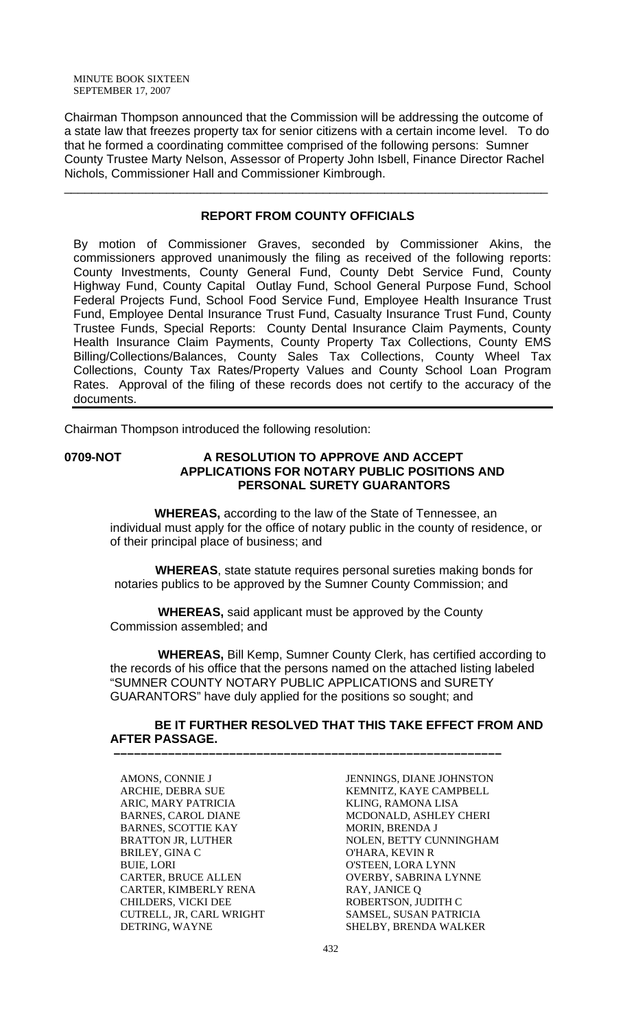Chairman Thompson announced that the Commission will be addressing the outcome of a state law that freezes property tax for senior citizens with a certain income level. To do that he formed a coordinating committee comprised of the following persons: Sumner County Trustee Marty Nelson, Assessor of Property John Isbell, Finance Director Rachel Nichols, Commissioner Hall and Commissioner Kimbrough.

### **REPORT FROM COUNTY OFFICIALS**

\_\_\_\_\_\_\_\_\_\_\_\_\_\_\_\_\_\_\_\_\_\_\_\_\_\_\_\_\_\_\_\_\_\_\_\_\_\_\_\_\_\_\_\_\_\_\_\_\_\_\_\_\_\_\_\_\_\_\_\_\_\_\_\_\_\_\_\_\_\_\_

By motion of Commissioner Graves, seconded by Commissioner Akins, the commissioners approved unanimously the filing as received of the following reports: County Investments, County General Fund, County Debt Service Fund, County Highway Fund, County Capital Outlay Fund, School General Purpose Fund, School Federal Projects Fund, School Food Service Fund, Employee Health Insurance Trust Fund, Employee Dental Insurance Trust Fund, Casualty Insurance Trust Fund, County Trustee Funds, Special Reports: County Dental Insurance Claim Payments, County Health Insurance Claim Payments, County Property Tax Collections, County EMS Billing/Collections/Balances, County Sales Tax Collections, County Wheel Tax Collections, County Tax Rates/Property Values and County School Loan Program Rates. Approval of the filing of these records does not certify to the accuracy of the documents.

Chairman Thompson introduced the following resolution:

## **0709-NOT A RESOLUTION TO APPROVE AND ACCEPT APPLICATIONS FOR NOTARY PUBLIC POSITIONS AND PERSONAL SURETY GUARANTORS**

 **WHEREAS,** according to the law of the State of Tennessee, an individual must apply for the office of notary public in the county of residence, or of their principal place of business; and

 **WHEREAS**, state statute requires personal sureties making bonds for notaries publics to be approved by the Sumner County Commission; and

 **WHEREAS,** said applicant must be approved by the County Commission assembled; and

 **–––––––––––––––––––––––––––––––––––––––––––––––––––––––––**

 **WHEREAS,** Bill Kemp, Sumner County Clerk, has certified according to the records of his office that the persons named on the attached listing labeled "SUMNER COUNTY NOTARY PUBLIC APPLICATIONS and SURETY GUARANTORS" have duly applied for the positions so sought; and

## **BE IT FURTHER RESOLVED THAT THIS TAKE EFFECT FROM AND AFTER PASSAGE.**

AMONS, CONNIE J ARCHIE, DEBRA SUE ARIC, MARY PATRICIA BARNES, CAROL DIANE BARNES, SCOTTIE KAY BRATTON JR, LUTHER BRILEY, GINA C BUIE, LORI CARTER, BRUCE ALLEN CARTER, KIMBERLY RENA CHILDERS, VICKI DEE CUTRELL, JR, CARL WRIGHT DETRING, WAYNE

JENNINGS, DIANE JOHNSTON KEMNITZ, KAYE CAMPBELL KLING, RAMONA LISA MCDONALD, ASHLEY CHERI MULDON ALL NOLEN, BETTY CUNNINGHAM O'HARA, KEVIN R O'STEEN, LORA LYNN OVERBY, SABRINA LYNNE RAY, JANICE Q ROBERTSON, JUDITH C SAMSEL, SUSAN PATRICIA SHELBY, BRENDA WALKER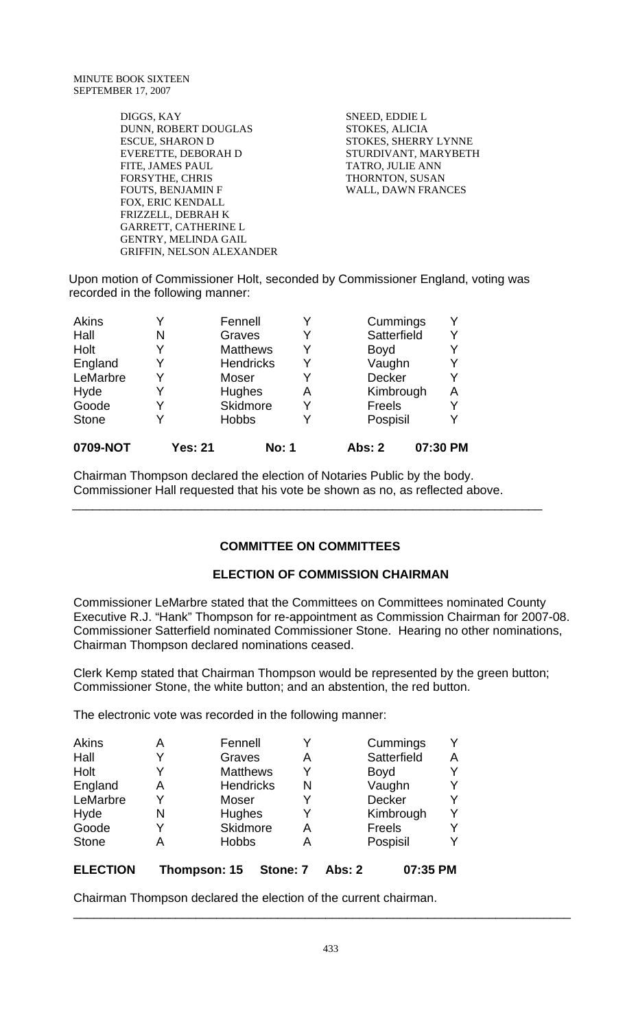DIGGS, KAY DUNN, ROBERT DOUGLAS ESCUE, SHARON D EVERETTE, DEBORAH D FITE, JAMES PAUL FORSYTHE, CHRIS FOUTS, BENJAMIN F FOX, ERIC KENDALL FRIZZELL, DEBRAH K GARRETT, CATHERINE L GENTRY, MELINDA GAIL GRIFFIN, NELSON ALEXANDER SNEED, EDDIE L STOKES, ALICIA STOKES, SHERRY LYNNE STURDIVANT, MARYBETH TATRO, JULIE ANN THORNTON, SUSAN WALL, DAWN FRANCES

Upon motion of Commissioner Holt, seconded by Commissioner England, voting was recorded in the following manner:

| Akins        |                | Fennell          |              | Cummings      | Y        |
|--------------|----------------|------------------|--------------|---------------|----------|
| Hall         | N              | Graves           | Y            | Satterfield   | Y        |
| Holt         | Y              | <b>Matthews</b>  | Y            | <b>Boyd</b>   | Y        |
| England      | Y              | <b>Hendricks</b> | Y            | Vaughn        | Y        |
| LeMarbre     | Y              | Moser            | Y            | <b>Decker</b> | Y        |
| Hyde         | Y              | Hughes           | Α            | Kimbrough     | Α        |
| Goode        | Y              | Skidmore         | Y            | Freels        | Y        |
| <b>Stone</b> | Y              | <b>Hobbs</b>     | Y            | Pospisil      | Y        |
| 0709-NOT     | <b>Yes: 21</b> |                  | <b>No: 1</b> | Abs: 2        | 07:30 PM |

Chairman Thompson declared the election of Notaries Public by the body. Commissioner Hall requested that his vote be shown as no, as reflected above.

## **COMMITTEE ON COMMITTEES**

\_\_\_\_\_\_\_\_\_\_\_\_\_\_\_\_\_\_\_\_\_\_\_\_\_\_\_\_\_\_\_\_\_\_\_\_\_\_\_\_\_\_\_\_\_\_\_\_\_\_\_\_\_\_\_\_\_\_\_\_\_\_\_\_\_\_\_\_\_

## **ELECTION OF COMMISSION CHAIRMAN**

Commissioner LeMarbre stated that the Committees on Committees nominated County Executive R.J. "Hank" Thompson for re-appointment as Commission Chairman for 2007-08. Commissioner Satterfield nominated Commissioner Stone. Hearing no other nominations, Chairman Thompson declared nominations ceased.

Clerk Kemp stated that Chairman Thompson would be represented by the green button; Commissioner Stone, the white button; and an abstention, the red button.

The electronic vote was recorded in the following manner:

| Akins           | А | Fennell          |          |   |          | Cummings      |   |
|-----------------|---|------------------|----------|---|----------|---------------|---|
| Hall            | Y | Graves           |          | A |          | Satterfield   | А |
| Holt            | Y | <b>Matthews</b>  |          | Y |          | <b>Boyd</b>   |   |
| England         | А | <b>Hendricks</b> |          | N |          | Vaughn        |   |
| LeMarbre        | Y | Moser            |          |   | Decker   |               |   |
| Hyde            | N | Hughes           |          | Y |          | Kimbrough     |   |
| Goode           | Y | <b>Skidmore</b>  |          | А |          | <b>Freels</b> |   |
| <b>Stone</b>    | А | <b>Hobbs</b>     |          | А | Pospisil |               |   |
| <b>ELECTION</b> |   | Thompson: 15     | Stone: 7 |   | Abs: 2   | 07:35 PM      |   |

Chairman Thompson declared the election of the current chairman.

\_\_\_\_\_\_\_\_\_\_\_\_\_\_\_\_\_\_\_\_\_\_\_\_\_\_\_\_\_\_\_\_\_\_\_\_\_\_\_\_\_\_\_\_\_\_\_\_\_\_\_\_\_\_\_\_\_\_\_\_\_\_\_\_\_\_\_\_\_\_\_\_\_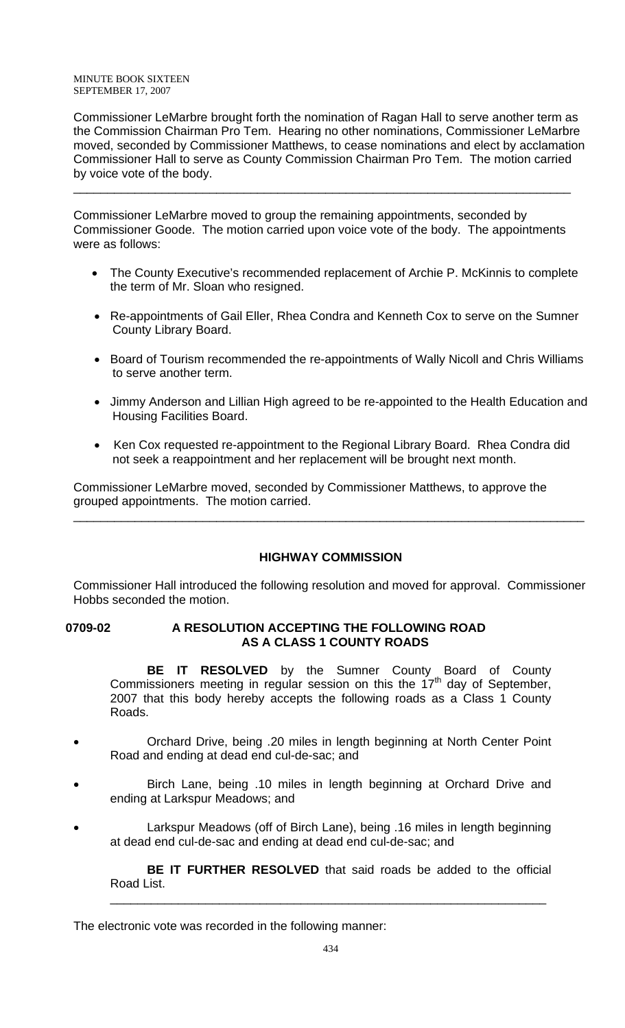Commissioner LeMarbre brought forth the nomination of Ragan Hall to serve another term as the Commission Chairman Pro Tem. Hearing no other nominations, Commissioner LeMarbre moved, seconded by Commissioner Matthews, to cease nominations and elect by acclamation Commissioner Hall to serve as County Commission Chairman Pro Tem. The motion carried by voice vote of the body.

Commissioner LeMarbre moved to group the remaining appointments, seconded by Commissioner Goode. The motion carried upon voice vote of the body. The appointments were as follows:

\_\_\_\_\_\_\_\_\_\_\_\_\_\_\_\_\_\_\_\_\_\_\_\_\_\_\_\_\_\_\_\_\_\_\_\_\_\_\_\_\_\_\_\_\_\_\_\_\_\_\_\_\_\_\_\_\_\_\_\_\_\_\_\_\_\_\_\_\_\_\_\_\_

- The County Executive's recommended replacement of Archie P. McKinnis to complete the term of Mr. Sloan who resigned.
- Re-appointments of Gail Eller, Rhea Condra and Kenneth Cox to serve on the Sumner County Library Board.
- Board of Tourism recommended the re-appointments of Wally Nicoll and Chris Williams to serve another term.
- Jimmy Anderson and Lillian High agreed to be re-appointed to the Health Education and Housing Facilities Board.
- Ken Cox requested re-appointment to the Regional Library Board. Rhea Condra did not seek a reappointment and her replacement will be brought next month.

Commissioner LeMarbre moved, seconded by Commissioner Matthews, to approve the grouped appointments. The motion carried. \_\_\_\_\_\_\_\_\_\_\_\_\_\_\_\_\_\_\_\_\_\_\_\_\_\_\_\_\_\_\_\_\_\_\_\_\_\_\_\_\_\_\_\_\_\_\_\_\_\_\_\_\_\_\_\_\_\_\_\_\_\_\_\_\_\_\_\_\_\_\_\_\_\_\_

## **HIGHWAY COMMISSION**

Commissioner Hall introduced the following resolution and moved for approval. Commissioner Hobbs seconded the motion.

## **0709-02 A RESOLUTION ACCEPTING THE FOLLOWING ROAD AS A CLASS 1 COUNTY ROADS**

**BE IT RESOLVED** by the Sumner County Board of County Commissioners meeting in regular session on this the  $17<sup>th</sup>$  day of September, 2007 that this body hereby accepts the following roads as a Class 1 County Roads.

- Orchard Drive, being .20 miles in length beginning at North Center Point Road and ending at dead end cul-de-sac; and
- Birch Lane, being .10 miles in length beginning at Orchard Drive and ending at Larkspur Meadows; and
- Larkspur Meadows (off of Birch Lane), being .16 miles in length beginning at dead end cul-de-sac and ending at dead end cul-de-sac; and

**BE IT FURTHER RESOLVED** that said roads be added to the official Road List.

\_\_\_\_\_\_\_\_\_\_\_\_\_\_\_\_\_\_\_\_\_\_\_\_\_\_\_\_\_\_\_\_\_\_\_\_\_\_\_\_\_\_\_\_\_\_\_\_\_\_\_\_\_\_\_\_\_\_\_\_\_\_\_\_

The electronic vote was recorded in the following manner: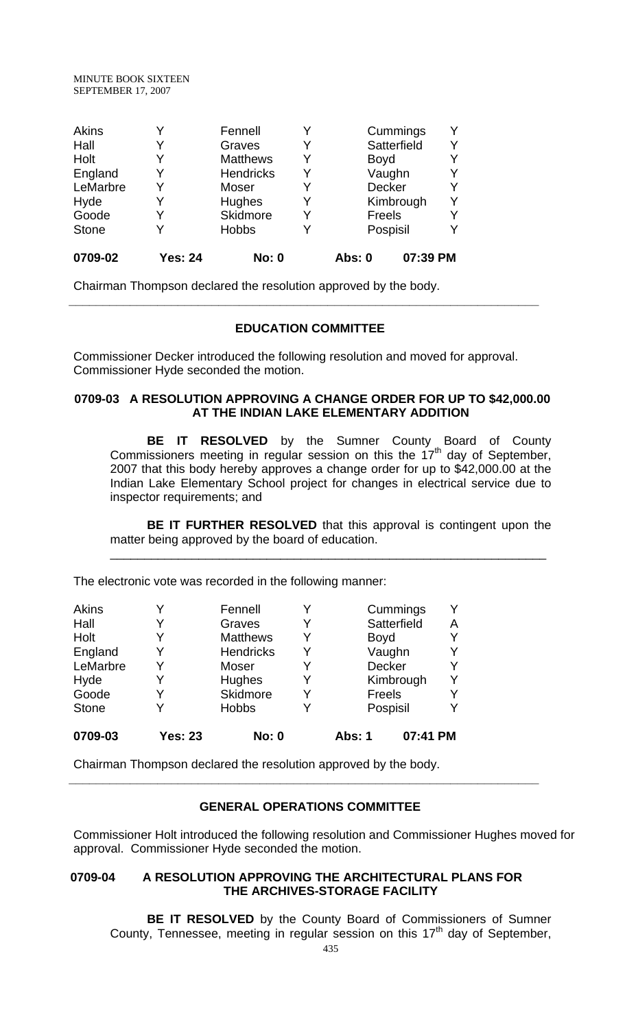| <b>Akins</b> |                | Fennell          |               | Cummings    |  |
|--------------|----------------|------------------|---------------|-------------|--|
| Hall         | Y              | Graves           |               | Satterfield |  |
| Holt         |                | <b>Matthews</b>  | <b>Boyd</b>   |             |  |
| England      | Y              | <b>Hendricks</b> |               | Vaughn      |  |
| LeMarbre     | Y              | Moser            | Decker        |             |  |
| Hyde         |                | Hughes           |               | Kimbrough   |  |
| Goode        | Y              | Skidmore         | <b>Freels</b> |             |  |
| <b>Stone</b> | Y              | <b>Hobbs</b>     |               | Pospisil    |  |
| 0709-02      | <b>Yes: 24</b> | <b>No: 0</b>     | <b>Abs: 0</b> | 07:39 PM    |  |

Chairman Thompson declared the resolution approved by the body.

## **EDUCATION COMMITTEE**

**\_\_\_\_\_\_\_\_\_\_\_\_\_\_\_\_\_\_\_\_\_\_\_\_\_\_\_\_\_\_\_\_\_\_\_\_\_\_\_\_\_\_\_\_\_\_\_\_\_\_\_\_\_\_\_\_\_\_\_\_\_\_\_\_\_\_\_\_\_** 

Commissioner Decker introduced the following resolution and moved for approval. Commissioner Hyde seconded the motion.

## **0709-03 A RESOLUTION APPROVING A CHANGE ORDER FOR UP TO \$42,000.00 AT THE INDIAN LAKE ELEMENTARY ADDITION**

 **BE IT RESOLVED** by the Sumner County Board of County Commissioners meeting in regular session on this the  $17<sup>th</sup>$  day of September, 2007 that this body hereby approves a change order for up to \$42,000.00 at the Indian Lake Elementary School project for changes in electrical service due to inspector requirements; and

**BE IT FURTHER RESOLVED** that this approval is contingent upon the matter being approved by the board of education.

\_\_\_\_\_\_\_\_\_\_\_\_\_\_\_\_\_\_\_\_\_\_\_\_\_\_\_\_\_\_\_\_\_\_\_\_\_\_\_\_\_\_\_\_\_\_\_\_\_\_\_\_\_\_\_\_\_\_\_\_\_\_\_\_

The electronic vote was recorded in the following manner:

| Akins        |                | Fennell          |   |               | Cummings    |   |
|--------------|----------------|------------------|---|---------------|-------------|---|
| Hall         |                | Graves           |   |               | Satterfield | A |
| Holt         | Y              | <b>Matthews</b>  | Y | <b>Boyd</b>   |             |   |
| England      | Y              | <b>Hendricks</b> | Y |               | Vaughn      |   |
| LeMarbre     | Y              | Moser            | Y | Decker        |             |   |
| Hyde         |                | Hughes           |   |               | Kimbrough   | ∨ |
| Goode        | Y              | Skidmore         |   | Freels        |             |   |
| <b>Stone</b> | Y              | <b>Hobbs</b>     | Y | Pospisil      |             |   |
| 0709-03      | <b>Yes: 23</b> | <b>No: 0</b>     |   | <b>Abs: 1</b> | 07:41 PM    |   |

Chairman Thompson declared the resolution approved by the body.

## **GENERAL OPERATIONS COMMITTEE**

**\_\_\_\_\_\_\_\_\_\_\_\_\_\_\_\_\_\_\_\_\_\_\_\_\_\_\_\_\_\_\_\_\_\_\_\_\_\_\_\_\_\_\_\_\_\_\_\_\_\_\_\_\_\_\_\_\_\_\_\_\_\_\_\_\_\_\_\_\_** 

Commissioner Holt introduced the following resolution and Commissioner Hughes moved for approval. Commissioner Hyde seconded the motion.

## **0709-04 A RESOLUTION APPROVING THE ARCHITECTURAL PLANS FOR THE ARCHIVES-STORAGE FACILITY**

**BE IT RESOLVED** by the County Board of Commissioners of Sumner County, Tennessee, meeting in regular session on this  $17<sup>th</sup>$  day of September,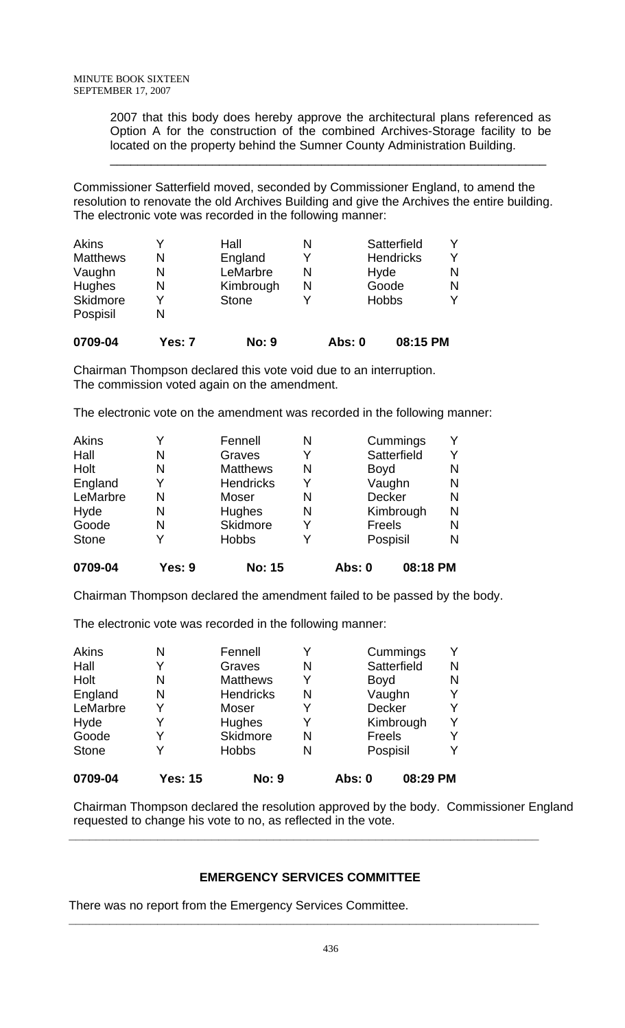2007 that this body does hereby approve the architectural plans referenced as Option A for the construction of the combined Archives-Storage facility to be located on the property behind the Sumner County Administration Building.

\_\_\_\_\_\_\_\_\_\_\_\_\_\_\_\_\_\_\_\_\_\_\_\_\_\_\_\_\_\_\_\_\_\_\_\_\_\_\_\_\_\_\_\_\_\_\_\_\_\_\_\_\_\_\_\_\_\_\_\_\_\_\_\_

Commissioner Satterfield moved, seconded by Commissioner England, to amend the resolution to renovate the old Archives Building and give the Archives the entire building. The electronic vote was recorded in the following manner:

| 0709-04         | Yes: 7 | No: 9        |   | Abs: 0 | 08:15 PM         |   |
|-----------------|--------|--------------|---|--------|------------------|---|
| Pospisil        | N      |              |   |        |                  |   |
| Skidmore        | v      | <b>Stone</b> |   |        | <b>Hobbs</b>     | v |
| Hughes          | N      | Kimbrough    | N |        | Goode            | N |
| Vaughn          | N      | LeMarbre     | N |        | Hyde             | N |
| <b>Matthews</b> | N      | England      |   |        | <b>Hendricks</b> | v |
| Akins           |        | Hall         | N |        | Satterfield      |   |

Chairman Thompson declared this vote void due to an interruption. The commission voted again on the amendment.

The electronic vote on the amendment was recorded in the following manner:

| <b>Akins</b> |        | Fennell          | N |               | Cummings      |   |
|--------------|--------|------------------|---|---------------|---------------|---|
| Hall         | N      | Graves           | Y |               | Satterfield   |   |
| Holt         | N      | <b>Matthews</b>  | N | <b>Boyd</b>   |               | N |
| England      | Y      | <b>Hendricks</b> |   |               | Vaughn        | N |
| LeMarbre     | N      | Moser            | N |               | <b>Decker</b> | N |
| Hyde         | N      | Hughes           | N |               | Kimbrough     | N |
| Goode        | N      | Skidmore         | Y | <b>Freels</b> |               | N |
| <b>Stone</b> | Y      | <b>Hobbs</b>     |   | Pospisil      |               | N |
| 0709-04      | Yes: 9 | <b>No: 15</b>    |   | Abs: 0        | 08:18 PM      |   |

Chairman Thompson declared the amendment failed to be passed by the body.

The electronic vote was recorded in the following manner:

| <b>Akins</b> | Ν              | Fennell          |   |             | Cummings      |   |
|--------------|----------------|------------------|---|-------------|---------------|---|
| Hall         |                | Graves           | N |             | Satterfield   | N |
| Holt         | N              | <b>Matthews</b>  |   | <b>Boyd</b> |               | N |
| England      | N              | <b>Hendricks</b> | N |             | Vaughn        |   |
| LeMarbre     | Y              | Moser            | Y |             | <b>Decker</b> |   |
| Hyde         | Y              | <b>Hughes</b>    | Y |             | Kimbrough     |   |
| Goode        | Y              | <b>Skidmore</b>  | N | Freels      |               |   |
| <b>Stone</b> | Y              | <b>Hobbs</b>     | N | Pospisil    |               |   |
| 0709-04      | <b>Yes: 15</b> | <b>No: 9</b>     |   | Abs: 0      | 08:29 PM      |   |

Chairman Thompson declared the resolution approved by the body. Commissioner England requested to change his vote to no, as reflected in the vote.

## **EMERGENCY SERVICES COMMITTEE**

**\_\_\_\_\_\_\_\_\_\_\_\_\_\_\_\_\_\_\_\_\_\_\_\_\_\_\_\_\_\_\_\_\_\_\_\_\_\_\_\_\_\_\_\_\_\_\_\_\_\_\_\_\_\_\_\_\_\_\_\_\_\_\_\_\_\_\_\_\_** 

**\_\_\_\_\_\_\_\_\_\_\_\_\_\_\_\_\_\_\_\_\_\_\_\_\_\_\_\_\_\_\_\_\_\_\_\_\_\_\_\_\_\_\_\_\_\_\_\_\_\_\_\_\_\_\_\_\_\_\_\_\_\_\_\_\_\_\_\_\_** 

There was no report from the Emergency Services Committee.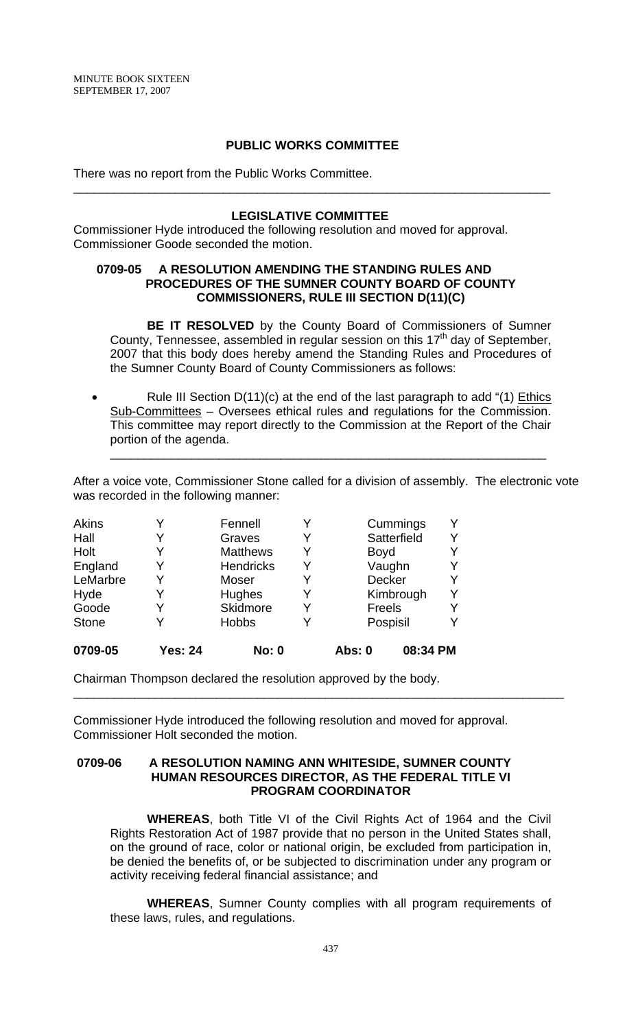## **PUBLIC WORKS COMMITTEE**

\_\_\_\_\_\_\_\_\_\_\_\_\_\_\_\_\_\_\_\_\_\_\_\_\_\_\_\_\_\_\_\_\_\_\_\_\_\_\_\_\_\_\_\_\_\_\_\_\_\_\_\_\_\_\_\_\_\_\_\_\_\_\_\_\_\_\_\_\_\_

There was no report from the Public Works Committee.

#### **LEGISLATIVE COMMITTEE**

Commissioner Hyde introduced the following resolution and moved for approval. Commissioner Goode seconded the motion.

## **0709-05 A RESOLUTION AMENDING THE STANDING RULES AND PROCEDURES OF THE SUMNER COUNTY BOARD OF COUNTY COMMISSIONERS, RULE III SECTION D(11)(C)**

**BE IT RESOLVED** by the County Board of Commissioners of Sumner County, Tennessee, assembled in regular session on this  $17<sup>th</sup>$  day of September, 2007 that this body does hereby amend the Standing Rules and Procedures of the Sumner County Board of County Commissioners as follows:

• Rule III Section D(11)(c) at the end of the last paragraph to add "(1) Ethics Sub-Committees – Oversees ethical rules and regulations for the Commission. This committee may report directly to the Commission at the Report of the Chair portion of the agenda.

After a voice vote, Commissioner Stone called for a division of assembly. The electronic vote was recorded in the following manner:

\_\_\_\_\_\_\_\_\_\_\_\_\_\_\_\_\_\_\_\_\_\_\_\_\_\_\_\_\_\_\_\_\_\_\_\_\_\_\_\_\_\_\_\_\_\_\_\_\_\_\_\_\_\_\_\_\_\_\_\_\_\_\_\_

| <b>Akins</b> |                | Fennell          |   |               | Cummings    |   |
|--------------|----------------|------------------|---|---------------|-------------|---|
| Hall         | Y              | Graves           | Y |               | Satterfield | Y |
| Holt         | Y              | <b>Matthews</b>  | Y | <b>Boyd</b>   |             |   |
| England      | Y              | <b>Hendricks</b> | Y |               | Vaughn      |   |
| LeMarbre     | Y              | Moser            | Y | <b>Decker</b> |             | Y |
| Hyde         | Y              | Hughes           | Y |               | Kimbrough   | Υ |
| Goode        | Y              | Skidmore         | Y | Freels        |             |   |
| <b>Stone</b> | Y              | <b>Hobbs</b>     | Y | Pospisil      |             |   |
| 0709-05      | <b>Yes: 24</b> | <b>No: 0</b>     |   | Abs: 0        | 08:34 PM    |   |

Chairman Thompson declared the resolution approved by the body.

Commissioner Hyde introduced the following resolution and moved for approval. Commissioner Holt seconded the motion.

\_\_\_\_\_\_\_\_\_\_\_\_\_\_\_\_\_\_\_\_\_\_\_\_\_\_\_\_\_\_\_\_\_\_\_\_\_\_\_\_\_\_\_\_\_\_\_\_\_\_\_\_\_\_\_\_\_\_\_\_\_\_\_\_\_\_\_\_\_\_\_\_

### **0709-06 A RESOLUTION NAMING ANN WHITESIDE, SUMNER COUNTY HUMAN RESOURCES DIRECTOR, AS THE FEDERAL TITLE VI PROGRAM COORDINATOR**

**WHEREAS**, both Title VI of the Civil Rights Act of 1964 and the Civil Rights Restoration Act of 1987 provide that no person in the United States shall, on the ground of race, color or national origin, be excluded from participation in, be denied the benefits of, or be subjected to discrimination under any program or activity receiving federal financial assistance; and

**WHEREAS**, Sumner County complies with all program requirements of these laws, rules, and regulations.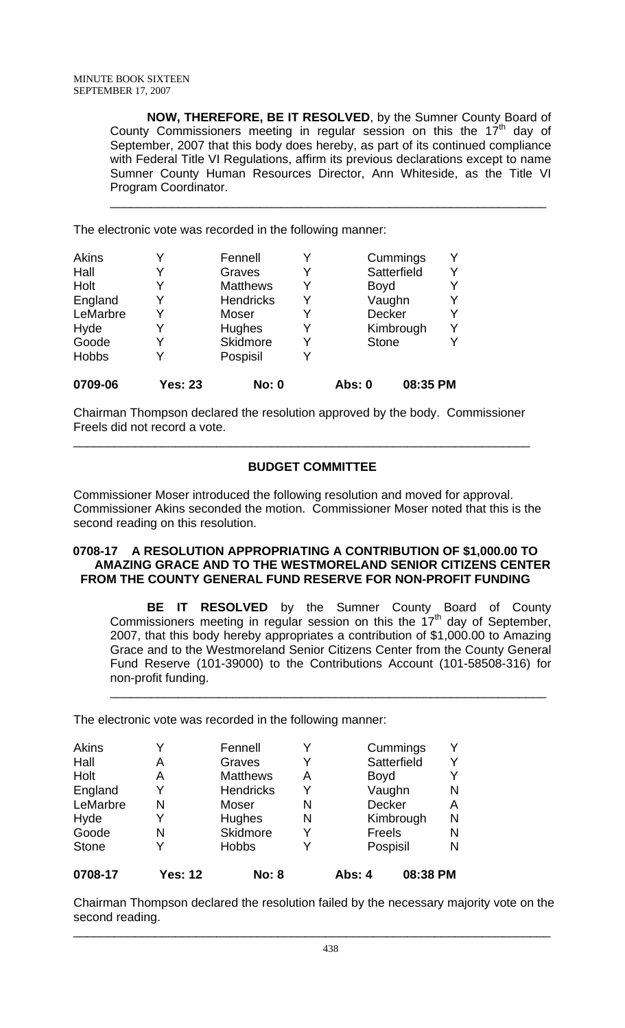**NOW, THEREFORE, BE IT RESOLVED**, by the Sumner County Board of County Commissioners meeting in regular session on this the  $17<sup>th</sup>$  day of September, 2007 that this body does hereby, as part of its continued compliance with Federal Title VI Regulations, affirm its previous declarations except to name Sumner County Human Resources Director, Ann Whiteside, as the Title VI Program Coordinator.

\_\_\_\_\_\_\_\_\_\_\_\_\_\_\_\_\_\_\_\_\_\_\_\_\_\_\_\_\_\_\_\_\_\_\_\_\_\_\_\_\_\_\_\_\_\_\_\_\_\_\_\_\_\_\_\_\_\_\_\_\_\_\_\_

The electronic vote was recorded in the following manner:

| <b>Akins</b> |                | Fennell          |   |               | Cummings    | v |
|--------------|----------------|------------------|---|---------------|-------------|---|
| Hall         | Y              | Graves           |   |               | Satterfield | v |
| Holt         |                | <b>Matthews</b>  |   | <b>Boyd</b>   |             |   |
| England      | Y              | <b>Hendricks</b> | Y |               | Vaughn      |   |
| LeMarbre     | Y              | Moser            |   | <b>Decker</b> |             | v |
| Hyde         |                | Hughes           |   |               | Kimbrough   | v |
| Goode        | Y              | Skidmore         | Y | <b>Stone</b>  |             |   |
| <b>Hobbs</b> | Y              | Pospisil         |   |               |             |   |
| 0709-06      | <b>Yes: 23</b> | <b>No: 0</b>     |   | Abs: 0        | 08:35 PM    |   |

Chairman Thompson declared the resolution approved by the body. Commissioner Freels did not record a vote.

\_\_\_\_\_\_\_\_\_\_\_\_\_\_\_\_\_\_\_\_\_\_\_\_\_\_\_\_\_\_\_\_\_\_\_\_\_\_\_\_\_\_\_\_\_\_\_\_\_\_\_\_\_\_\_\_\_\_\_\_\_\_\_\_\_\_\_

## **BUDGET COMMITTEE**

Commissioner Moser introduced the following resolution and moved for approval. Commissioner Akins seconded the motion. Commissioner Moser noted that this is the second reading on this resolution.

## **0708-17 A RESOLUTION APPROPRIATING A CONTRIBUTION OF \$1,000.00 TO AMAZING GRACE AND TO THE WESTMORELAND SENIOR CITIZENS CENTER FROM THE COUNTY GENERAL FUND RESERVE FOR NON-PROFIT FUNDING**

**BE IT RESOLVED** by the Sumner County Board of County Commissioners meeting in regular session on this the  $17<sup>th</sup>$  day of September, 2007, that this body hereby appropriates a contribution of \$1,000.00 to Amazing Grace and to the Westmoreland Senior Citizens Center from the County General Fund Reserve (101-39000) to the Contributions Account (101-58508-316) for non-profit funding.

\_\_\_\_\_\_\_\_\_\_\_\_\_\_\_\_\_\_\_\_\_\_\_\_\_\_\_\_\_\_\_\_\_\_\_\_\_\_\_\_\_\_\_\_\_\_\_\_\_\_\_\_\_\_\_\_\_\_\_\_\_\_\_\_

The electronic vote was recorded in the following manner:

| Akins        |                | Fennell               |   |               | Cummings |   |
|--------------|----------------|-----------------------|---|---------------|----------|---|
| Hall         | Α              | Satterfield<br>Graves |   |               |          |   |
| Holt         | Α              | <b>Matthews</b>       | A | <b>Boyd</b>   |          |   |
| England      | Y              | <b>Hendricks</b>      | Y | Vaughn        |          | N |
| LeMarbre     | N              | Moser                 | N | <b>Decker</b> |          | Α |
| Hyde         | Y              | Hughes                | N | Kimbrough     |          | N |
| Goode        | N              | Skidmore              |   | <b>Freels</b> |          | N |
| <b>Stone</b> | Y              | <b>Hobbs</b>          |   | Pospisil      |          | N |
| 0708-17      | <b>Yes: 12</b> | <b>No: 8</b>          |   | Abs: 4        | 08:38 PM |   |

Chairman Thompson declared the resolution failed by the necessary majority vote on the second reading. \_\_\_\_\_\_\_\_\_\_\_\_\_\_\_\_\_\_\_\_\_\_\_\_\_\_\_\_\_\_\_\_\_\_\_\_\_\_\_\_\_\_\_\_\_\_\_\_\_\_\_\_\_\_\_\_\_\_\_\_\_\_\_\_\_\_\_\_\_\_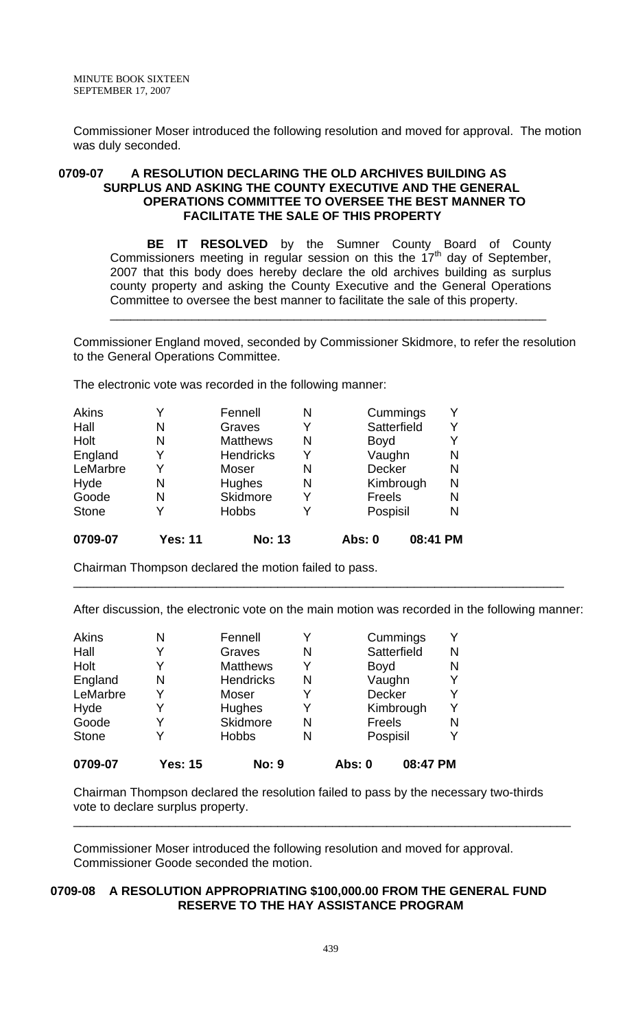Commissioner Moser introduced the following resolution and moved for approval. The motion was duly seconded.

## **0709-07 A RESOLUTION DECLARING THE OLD ARCHIVES BUILDING AS SURPLUS AND ASKING THE COUNTY EXECUTIVE AND THE GENERAL OPERATIONS COMMITTEE TO OVERSEE THE BEST MANNER TO FACILITATE THE SALE OF THIS PROPERTY**

 **BE IT RESOLVED** by the Sumner County Board of County Commissioners meeting in regular session on this the  $17<sup>th</sup>$  day of September, 2007 that this body does hereby declare the old archives building as surplus county property and asking the County Executive and the General Operations Committee to oversee the best manner to facilitate the sale of this property.

\_\_\_\_\_\_\_\_\_\_\_\_\_\_\_\_\_\_\_\_\_\_\_\_\_\_\_\_\_\_\_\_\_\_\_\_\_\_\_\_\_\_\_\_\_\_\_\_\_\_\_\_\_\_\_\_\_\_\_\_\_\_\_\_

Commissioner England moved, seconded by Commissioner Skidmore, to refer the resolution to the General Operations Committee.

The electronic vote was recorded in the following manner:

| 0709-07      | <b>Yes: 11</b> | <b>No: 13</b>    |   | Abs: 0      | 08:41 PM  |   |
|--------------|----------------|------------------|---|-------------|-----------|---|
| <b>Stone</b> | Y              | <b>Hobbs</b>     | Y | Pospisil    |           | N |
| Goode        | N              | Skidmore         | Y | Freels      |           | N |
| Hyde         | N              | Hughes           | N |             | Kimbrough | N |
| LeMarbre     | Y              | Moser            | N | Decker      |           | N |
| England      | Y              | <b>Hendricks</b> | Y | Vaughn      |           | N |
| Holt         | N              | <b>Matthews</b>  | N | <b>Boyd</b> |           | Y |
| Hall         | N              | Graves           | Y | Satterfield |           | Y |
| Akins        | Y              | Fennell          | Ν |             | Cummings  | Y |
|              |                |                  |   |             |           |   |

Chairman Thompson declared the motion failed to pass.

After discussion, the electronic vote on the main motion was recorded in the following manner:

\_\_\_\_\_\_\_\_\_\_\_\_\_\_\_\_\_\_\_\_\_\_\_\_\_\_\_\_\_\_\_\_\_\_\_\_\_\_\_\_\_\_\_\_\_\_\_\_\_\_\_\_\_\_\_\_\_\_\_\_\_\_\_\_\_\_\_\_\_\_\_\_

| <b>Akins</b> | N              | Fennell          |   |               | Cummings |   |
|--------------|----------------|------------------|---|---------------|----------|---|
| Hall         | Y              | Graves           | N | Satterfield   |          | N |
| Holt         | Y              | <b>Matthews</b>  | Y | <b>Boyd</b>   |          | N |
| England      | N              | <b>Hendricks</b> | N |               | Vaughn   |   |
| LeMarbre     | Y              | Moser            |   | <b>Decker</b> |          | v |
| Hyde         | Y              | Hughes           | Y | Kimbrough     |          | v |
| Goode        | Y              | Skidmore         | N | Freels        |          | N |
| <b>Stone</b> | v              | <b>Hobbs</b>     | N | Pospisil      |          |   |
| 0709-07      | <b>Yes: 15</b> | <b>No: 9</b>     |   | Abs: 0        | 08:47 PM |   |

Chairman Thompson declared the resolution failed to pass by the necessary two-thirds vote to declare surplus property.

\_\_\_\_\_\_\_\_\_\_\_\_\_\_\_\_\_\_\_\_\_\_\_\_\_\_\_\_\_\_\_\_\_\_\_\_\_\_\_\_\_\_\_\_\_\_\_\_\_\_\_\_\_\_\_\_\_\_\_\_\_\_\_\_\_\_\_\_\_\_\_\_\_

Commissioner Moser introduced the following resolution and moved for approval. Commissioner Goode seconded the motion.

#### **0709-08 A RESOLUTION APPROPRIATING \$100,000.00 FROM THE GENERAL FUND RESERVE TO THE HAY ASSISTANCE PROGRAM**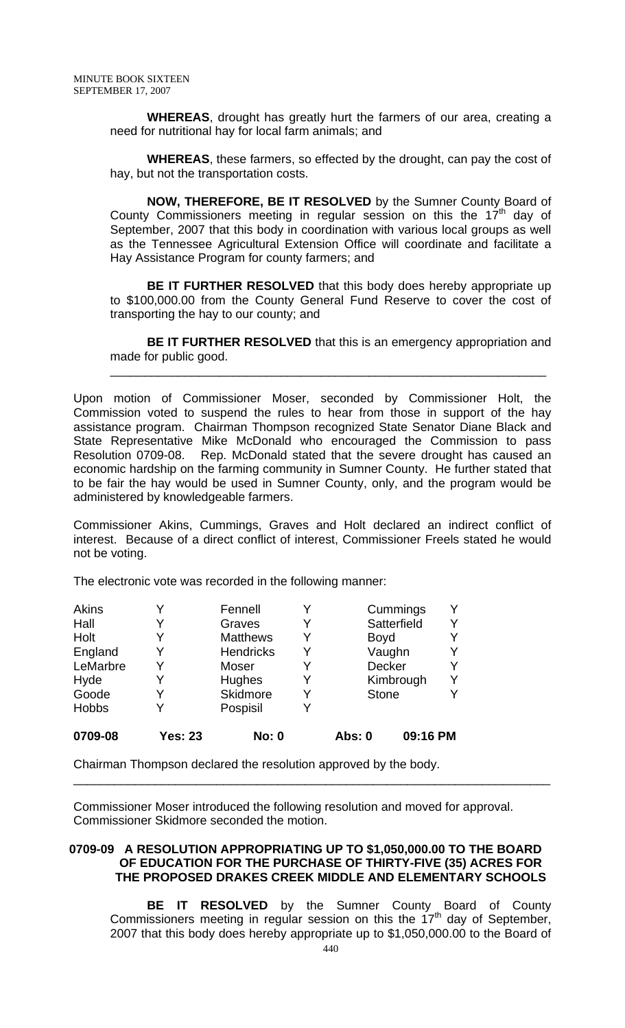**WHEREAS**, drought has greatly hurt the farmers of our area, creating a need for nutritional hay for local farm animals; and

**WHEREAS**, these farmers, so effected by the drought, can pay the cost of hay, but not the transportation costs.

**NOW, THEREFORE, BE IT RESOLVED** by the Sumner County Board of County Commissioners meeting in regular session on this the  $17<sup>th</sup>$  day of September, 2007 that this body in coordination with various local groups as well as the Tennessee Agricultural Extension Office will coordinate and facilitate a Hay Assistance Program for county farmers; and

**BE IT FURTHER RESOLVED** that this body does hereby appropriate up to \$100,000.00 from the County General Fund Reserve to cover the cost of transporting the hay to our county; and

**BE IT FURTHER RESOLVED** that this is an emergency appropriation and made for public good.

\_\_\_\_\_\_\_\_\_\_\_\_\_\_\_\_\_\_\_\_\_\_\_\_\_\_\_\_\_\_\_\_\_\_\_\_\_\_\_\_\_\_\_\_\_\_\_\_\_\_\_\_\_\_\_\_\_\_\_\_\_\_\_\_

Upon motion of Commissioner Moser, seconded by Commissioner Holt, the Commission voted to suspend the rules to hear from those in support of the hay assistance program. Chairman Thompson recognized State Senator Diane Black and State Representative Mike McDonald who encouraged the Commission to pass Resolution 0709-08. Rep. McDonald stated that the severe drought has caused an economic hardship on the farming community in Sumner County. He further stated that to be fair the hay would be used in Sumner County, only, and the program would be administered by knowledgeable farmers.

Commissioner Akins, Cummings, Graves and Holt declared an indirect conflict of interest. Because of a direct conflict of interest, Commissioner Freels stated he would not be voting.

The electronic vote was recorded in the following manner:

| 0709-08      | <b>Yes: 23</b> | <b>No: 0</b>     |   | <b>Abs: 0</b> | 09:16 PM  |  |
|--------------|----------------|------------------|---|---------------|-----------|--|
| <b>Hobbs</b> | Y              | Pospisil         |   |               |           |  |
| Goode        | Y              | Skidmore         | Y | <b>Stone</b>  |           |  |
| Hyde         |                | <b>Hughes</b>    |   |               | Kimbrough |  |
| LeMarbre     | Y              | Moser            |   | <b>Decker</b> |           |  |
| England      | Y              | <b>Hendricks</b> | Y |               | Vaughn    |  |
| Holt         |                | <b>Matthews</b>  | Y | <b>Boyd</b>   |           |  |
| Hall         |                | Graves           |   | Satterfield   |           |  |
| Akins        |                | Fennell          |   |               | Cummings  |  |

Chairman Thompson declared the resolution approved by the body.

Commissioner Moser introduced the following resolution and moved for approval. Commissioner Skidmore seconded the motion.

## **0709-09 A RESOLUTION APPROPRIATING UP TO \$1,050,000.00 TO THE BOARD OF EDUCATION FOR THE PURCHASE OF THIRTY-FIVE (35) ACRES FOR THE PROPOSED DRAKES CREEK MIDDLE AND ELEMENTARY SCHOOLS**

\_\_\_\_\_\_\_\_\_\_\_\_\_\_\_\_\_\_\_\_\_\_\_\_\_\_\_\_\_\_\_\_\_\_\_\_\_\_\_\_\_\_\_\_\_\_\_\_\_\_\_\_\_\_\_\_\_\_\_\_\_\_\_\_\_\_\_\_\_\_

 **BE IT RESOLVED** by the Sumner County Board of County Commissioners meeting in regular session on this the  $17<sup>th</sup>$  day of September, 2007 that this body does hereby appropriate up to \$1,050,000.00 to the Board of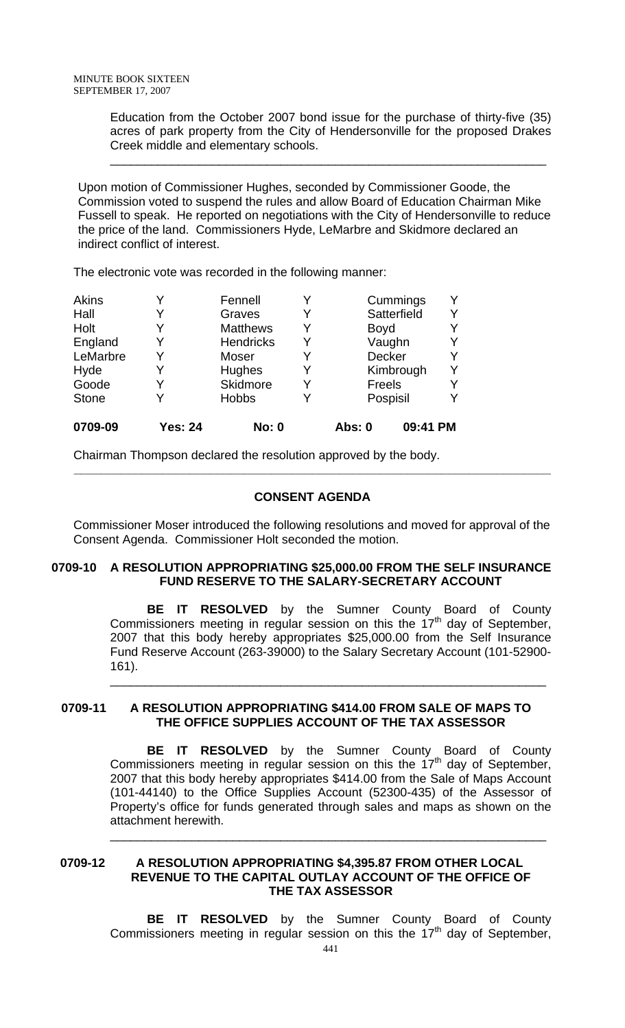Education from the October 2007 bond issue for the purchase of thirty-five (35) acres of park property from the City of Hendersonville for the proposed Drakes Creek middle and elementary schools.

\_\_\_\_\_\_\_\_\_\_\_\_\_\_\_\_\_\_\_\_\_\_\_\_\_\_\_\_\_\_\_\_\_\_\_\_\_\_\_\_\_\_\_\_\_\_\_\_\_\_\_\_\_\_\_\_\_\_\_\_\_\_\_\_

Upon motion of Commissioner Hughes, seconded by Commissioner Goode, the Commission voted to suspend the rules and allow Board of Education Chairman Mike Fussell to speak. He reported on negotiations with the City of Hendersonville to reduce the price of the land. Commissioners Hyde, LeMarbre and Skidmore declared an indirect conflict of interest.

The electronic vote was recorded in the following manner:

| 0709-09      | <b>Yes: 24</b> | <b>No: 0</b>     |   | <b>Abs: 0</b> | 09:41 PM  |  |
|--------------|----------------|------------------|---|---------------|-----------|--|
| <b>Stone</b> | Y              | <b>Hobbs</b>     |   | Pospisil      |           |  |
| Goode        | Y              | <b>Skidmore</b>  | Y | Freels        |           |  |
| Hyde         | Y              | Hughes           | Y |               | Kimbrough |  |
| LeMarbre     | Y              | Moser            |   | <b>Decker</b> |           |  |
| England      | Y              | <b>Hendricks</b> | Y |               | Vaughn    |  |
| Holt         | Y              | <b>Matthews</b>  | Y | <b>Boyd</b>   |           |  |
| Hall         |                | Graves           |   | Satterfield   |           |  |
| <b>Akins</b> |                | Fennell          |   |               | Cummings  |  |

Chairman Thompson declared the resolution approved by the body.

## **CONSENT AGENDA**

**\_\_\_\_\_\_\_\_\_\_\_\_\_\_\_\_\_\_\_\_\_\_\_\_\_\_\_\_\_\_\_\_\_\_\_\_\_\_\_\_\_\_\_\_\_\_\_\_\_\_\_\_\_\_\_\_\_\_\_\_\_\_\_\_\_\_\_\_\_\_** 

Commissioner Moser introduced the following resolutions and moved for approval of the Consent Agenda. Commissioner Holt seconded the motion.

## **0709-10 A RESOLUTION APPROPRIATING \$25,000.00 FROM THE SELF INSURANCE FUND RESERVE TO THE SALARY-SECRETARY ACCOUNT**

 **BE IT RESOLVED** by the Sumner County Board of County Commissioners meeting in regular session on this the  $17<sup>th</sup>$  day of September, 2007 that this body hereby appropriates \$25,000.00 from the Self Insurance Fund Reserve Account (263-39000) to the Salary Secretary Account (101-52900- 161).

\_\_\_\_\_\_\_\_\_\_\_\_\_\_\_\_\_\_\_\_\_\_\_\_\_\_\_\_\_\_\_\_\_\_\_\_\_\_\_\_\_\_\_\_\_\_\_\_\_\_\_\_\_\_\_\_\_\_\_\_\_\_\_\_

## **0709-11 A RESOLUTION APPROPRIATING \$414.00 FROM SALE OF MAPS TO THE OFFICE SUPPLIES ACCOUNT OF THE TAX ASSESSOR**

**BE IT RESOLVED** by the Sumner County Board of County Commissioners meeting in regular session on this the  $17<sup>th</sup>$  day of September, 2007 that this body hereby appropriates \$414.00 from the Sale of Maps Account (101-44140) to the Office Supplies Account (52300-435) of the Assessor of Property's office for funds generated through sales and maps as shown on the attachment herewith.

\_\_\_\_\_\_\_\_\_\_\_\_\_\_\_\_\_\_\_\_\_\_\_\_\_\_\_\_\_\_\_\_\_\_\_\_\_\_\_\_\_\_\_\_\_\_\_\_\_\_\_\_\_\_\_\_\_\_\_\_\_\_\_\_

## **0709-12 A RESOLUTION APPROPRIATING \$4,395.87 FROM OTHER LOCAL REVENUE TO THE CAPITAL OUTLAY ACCOUNT OF THE OFFICE OF THE TAX ASSESSOR**

**BE IT RESOLVED** by the Sumner County Board of County Commissioners meeting in regular session on this the  $17<sup>th</sup>$  day of September,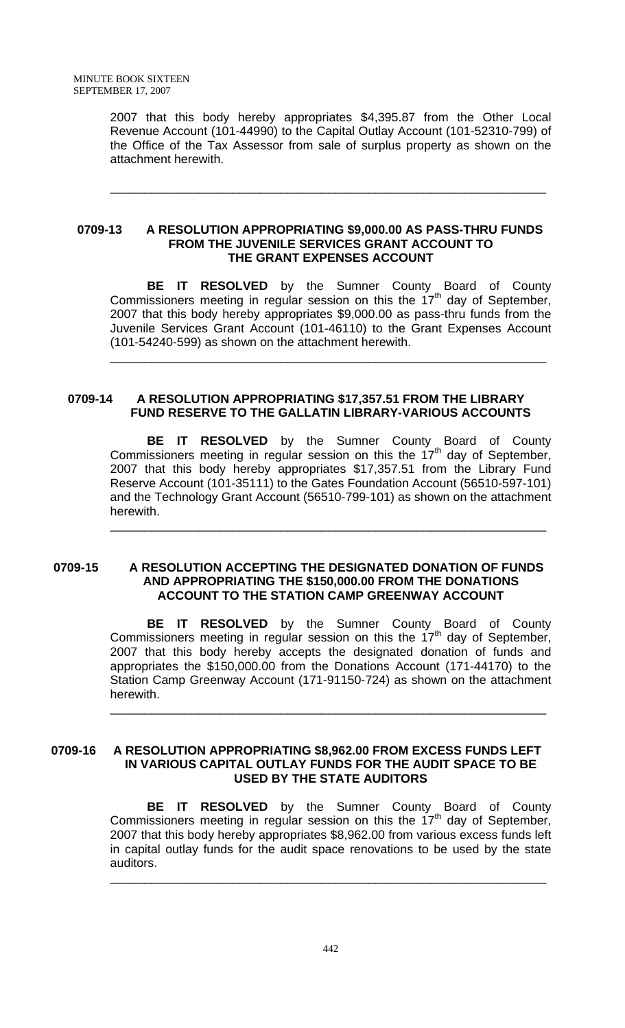2007 that this body hereby appropriates \$4,395.87 from the Other Local Revenue Account (101-44990) to the Capital Outlay Account (101-52310-799) of the Office of the Tax Assessor from sale of surplus property as shown on the attachment herewith.

\_\_\_\_\_\_\_\_\_\_\_\_\_\_\_\_\_\_\_\_\_\_\_\_\_\_\_\_\_\_\_\_\_\_\_\_\_\_\_\_\_\_\_\_\_\_\_\_\_\_\_\_\_\_\_\_\_\_\_\_\_\_\_\_

#### **0709-13 A RESOLUTION APPROPRIATING \$9,000.00 AS PASS-THRU FUNDS FROM THE JUVENILE SERVICES GRANT ACCOUNT TO THE GRANT EXPENSES ACCOUNT**

**BE IT RESOLVED** by the Sumner County Board of County Commissioners meeting in regular session on this the  $17<sup>th</sup>$  day of September, 2007 that this body hereby appropriates \$9,000.00 as pass-thru funds from the Juvenile Services Grant Account (101-46110) to the Grant Expenses Account (101-54240-599) as shown on the attachment herewith.

\_\_\_\_\_\_\_\_\_\_\_\_\_\_\_\_\_\_\_\_\_\_\_\_\_\_\_\_\_\_\_\_\_\_\_\_\_\_\_\_\_\_\_\_\_\_\_\_\_\_\_\_\_\_\_\_\_\_\_\_\_\_\_\_

## **0709-14 A RESOLUTION APPROPRIATING \$17,357.51 FROM THE LIBRARY FUND RESERVE TO THE GALLATIN LIBRARY-VARIOUS ACCOUNTS**

 **BE IT RESOLVED** by the Sumner County Board of County Commissioners meeting in regular session on this the  $17<sup>th</sup>$  day of September, 2007 that this body hereby appropriates \$17,357.51 from the Library Fund Reserve Account (101-35111) to the Gates Foundation Account (56510-597-101) and the Technology Grant Account (56510-799-101) as shown on the attachment herewith.

\_\_\_\_\_\_\_\_\_\_\_\_\_\_\_\_\_\_\_\_\_\_\_\_\_\_\_\_\_\_\_\_\_\_\_\_\_\_\_\_\_\_\_\_\_\_\_\_\_\_\_\_\_\_\_\_\_\_\_\_\_\_\_\_

#### **0709-15 A RESOLUTION ACCEPTING THE DESIGNATED DONATION OF FUNDS AND APPROPRIATING THE \$150,000.00 FROM THE DONATIONS ACCOUNT TO THE STATION CAMP GREENWAY ACCOUNT**

**BE IT RESOLVED** by the Sumner County Board of County Commissioners meeting in regular session on this the  $17<sup>th</sup>$  day of September, 2007 that this body hereby accepts the designated donation of funds and appropriates the \$150,000.00 from the Donations Account (171-44170) to the Station Camp Greenway Account (171-91150-724) as shown on the attachment herewith.

\_\_\_\_\_\_\_\_\_\_\_\_\_\_\_\_\_\_\_\_\_\_\_\_\_\_\_\_\_\_\_\_\_\_\_\_\_\_\_\_\_\_\_\_\_\_\_\_\_\_\_\_\_\_\_\_\_\_\_\_\_\_\_\_

### **0709-16 A RESOLUTION APPROPRIATING \$8,962.00 FROM EXCESS FUNDS LEFT IN VARIOUS CAPITAL OUTLAY FUNDS FOR THE AUDIT SPACE TO BE USED BY THE STATE AUDITORS**

**BE IT RESOLVED** by the Sumner County Board of County Commissioners meeting in regular session on this the 17<sup>th</sup> day of September, 2007 that this body hereby appropriates \$8,962.00 from various excess funds left in capital outlay funds for the audit space renovations to be used by the state auditors.

\_\_\_\_\_\_\_\_\_\_\_\_\_\_\_\_\_\_\_\_\_\_\_\_\_\_\_\_\_\_\_\_\_\_\_\_\_\_\_\_\_\_\_\_\_\_\_\_\_\_\_\_\_\_\_\_\_\_\_\_\_\_\_\_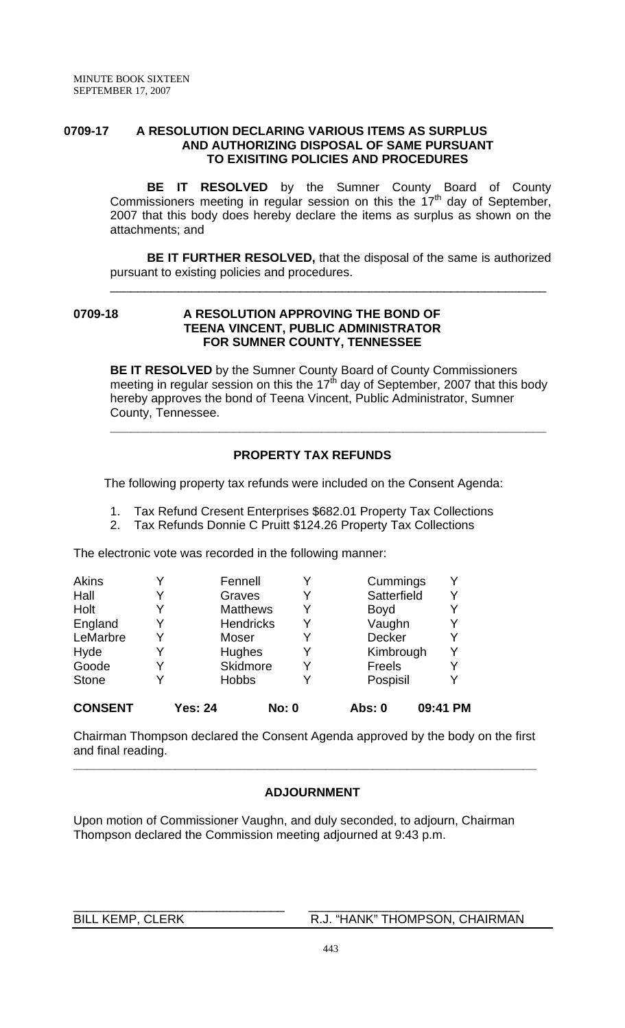### **0709-17 A RESOLUTION DECLARING VARIOUS ITEMS AS SURPLUS AND AUTHORIZING DISPOSAL OF SAME PURSUANT TO EXISITING POLICIES AND PROCEDURES**

**BE IT RESOLVED** by the Sumner County Board of County Commissioners meeting in regular session on this the  $17<sup>th</sup>$  day of September, 2007 that this body does hereby declare the items as surplus as shown on the attachments; and

**BE IT FURTHER RESOLVED,** that the disposal of the same is authorized pursuant to existing policies and procedures.

\_\_\_\_\_\_\_\_\_\_\_\_\_\_\_\_\_\_\_\_\_\_\_\_\_\_\_\_\_\_\_\_\_\_\_\_\_\_\_\_\_\_\_\_\_\_\_\_\_\_\_\_\_\_\_\_\_\_\_\_\_\_\_\_

## **0709-18 A RESOLUTION APPROVING THE BOND OF TEENA VINCENT, PUBLIC ADMINISTRATOR FOR SUMNER COUNTY, TENNESSEE**

**BE IT RESOLVED** by the Sumner County Board of County Commissioners meeting in regular session on this the 17<sup>th</sup> day of September, 2007 that this body hereby approves the bond of Teena Vincent, Public Administrator, Sumner County, Tennessee.

**\_\_\_\_\_\_\_\_\_\_\_\_\_\_\_\_\_\_\_\_\_\_\_\_\_\_\_\_\_\_\_\_\_\_\_\_\_\_\_\_\_\_\_\_\_\_\_\_\_\_\_\_\_\_\_\_\_\_\_\_\_\_\_\_**

## **PROPERTY TAX REFUNDS**

The following property tax refunds were included on the Consent Agenda:

- 1. Tax Refund Cresent Enterprises \$682.01 Property Tax Collections
- 2. Tax Refunds Donnie C Pruitt \$124.26 Property Tax Collections

The electronic vote was recorded in the following manner:

| Goode<br><b>Stone</b><br><b>CONSENT</b> | Y           | Skidmore<br><b>Hobbs</b>                      | Y      | Freels<br>Pospisil                   | 09:41 PM |  |
|-----------------------------------------|-------------|-----------------------------------------------|--------|--------------------------------------|----------|--|
| England<br>LeMarbre<br>Hyde             | Y<br>Y      | Moser<br>Hughes                               | Y      | Vaughn<br><b>Decker</b><br>Kimbrough |          |  |
| Hall<br>Holt                            | Y<br>Y<br>Y | Graves<br><b>Matthews</b><br><b>Hendricks</b> | Y<br>Y | Satterfield<br><b>Boyd</b>           |          |  |
| <b>Akins</b>                            | Y           | Fennell                                       |        | Cummings                             |          |  |

Chairman Thompson declared the Consent Agenda approved by the body on the first and final reading.

**\_\_\_\_\_\_\_\_\_\_\_\_\_\_\_\_\_\_\_\_\_\_\_\_\_\_\_\_\_\_\_\_\_\_\_\_\_\_\_\_\_\_\_\_\_\_\_\_\_\_\_\_\_\_\_\_\_\_\_\_\_\_\_\_\_\_\_\_** 

## **ADJOURNMENT**

Upon motion of Commissioner Vaughn, and duly seconded, to adjourn, Chairman Thompson declared the Commission meeting adjourned at 9:43 p.m.

\_\_\_\_\_\_\_\_\_\_\_\_\_\_\_\_\_\_\_\_\_\_\_\_\_\_\_\_\_\_\_ \_\_\_\_\_\_\_\_\_\_\_\_\_\_\_\_\_\_\_\_\_\_\_\_\_\_\_\_\_\_\_